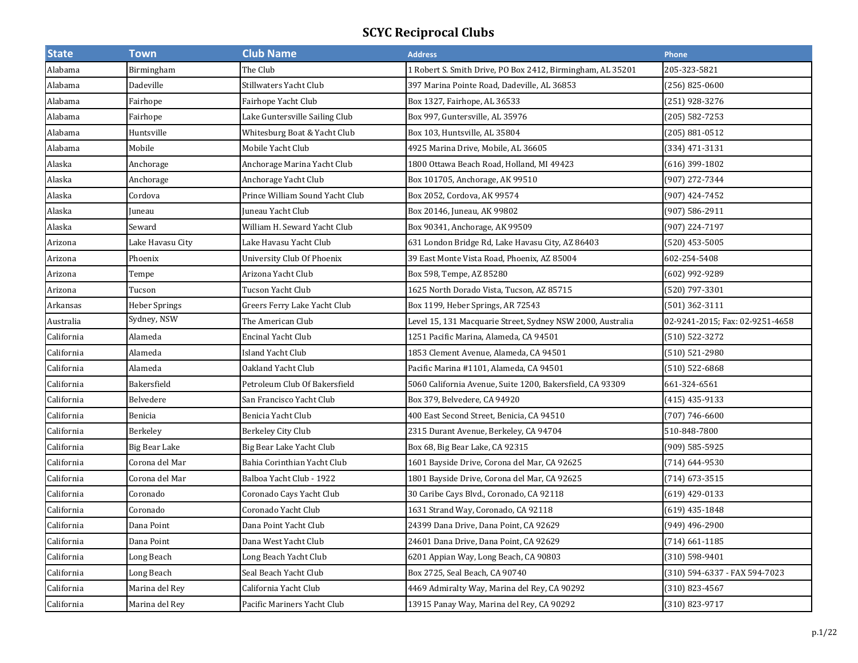| <b>State</b> | <b>Town</b>      | <b>Club Name</b>                | <b>Address</b>                                             | Phone                           |
|--------------|------------------|---------------------------------|------------------------------------------------------------|---------------------------------|
| Alabama      | Birmingham       | The Club                        | 1 Robert S. Smith Drive, PO Box 2412, Birmingham, AL 35201 | 205-323-5821                    |
| Alabama      | Dadeville        | Stillwaters Yacht Club          | 397 Marina Pointe Road, Dadeville, AL 36853                | $(256)$ 825-0600                |
| Alabama      | Fairhope         | Fairhope Yacht Club             | Box 1327, Fairhope, AL 36533                               | (251) 928-3276                  |
| Alabama      | Fairhope         | Lake Guntersville Sailing Club  | Box 997, Guntersville, AL 35976                            | (205) 582-7253                  |
| Alabama      | Huntsville       | Whitesburg Boat & Yacht Club    | Box 103, Huntsville, AL 35804                              | (205) 881-0512                  |
| Alabama      | Mobile           | Mobile Yacht Club               | 4925 Marina Drive, Mobile, AL 36605                        | (334) 471-3131                  |
| Alaska       | Anchorage        | Anchorage Marina Yacht Club     | 1800 Ottawa Beach Road, Holland, MI 49423                  | $(616)$ 399-1802                |
| Alaska       | Anchorage        | Anchorage Yacht Club            | Box 101705, Anchorage, AK 99510                            | (907) 272-7344                  |
| Alaska       | Cordova          | Prince William Sound Yacht Club | Box 2052, Cordova, AK 99574                                | (907) 424-7452                  |
| Alaska       | Juneau           | Juneau Yacht Club               | Box 20146, Juneau, AK 99802                                | (907) 586-2911                  |
| Alaska       | Seward           | William H. Seward Yacht Club    | Box 90341, Anchorage, AK 99509                             | (907) 224-7197                  |
| Arizona      | Lake Havasu City | Lake Havasu Yacht Club          | 631 London Bridge Rd, Lake Havasu City, AZ 86403           | (520) 453-5005                  |
| Arizona      | Phoenix          | University Club Of Phoenix      | 39 East Monte Vista Road, Phoenix, AZ 85004                | 602-254-5408                    |
| Arizona      | Tempe            | Arizona Yacht Club              | Box 598, Tempe, AZ 85280                                   | (602) 992-9289                  |
| Arizona      | Tucson           | Tucson Yacht Club               | 1625 North Dorado Vista, Tucson, AZ 85715                  | (520) 797-3301                  |
| Arkansas     | Heber Springs    | Greers Ferry Lake Yacht Club    | Box 1199, Heber Springs, AR 72543                          | (501) 362-3111                  |
| Australia    | Sydney, NSW      | The American Club               | Level 15, 131 Macquarie Street, Sydney NSW 2000, Australia | 02-9241-2015; Fax: 02-9251-4658 |
| California   | Alameda          | <b>Encinal Yacht Club</b>       | 1251 Pacific Marina, Alameda, CA 94501                     | (510) 522-3272                  |
| California   | Alameda          | <b>Island Yacht Club</b>        | 1853 Clement Avenue, Alameda, CA 94501                     | (510) 521-2980                  |
| California   | Alameda          | Oakland Yacht Club              | Pacific Marina #1101, Alameda, CA 94501                    | $(510) 522 - 6868$              |
| California   | Bakersfield      | Petroleum Club Of Bakersfield   | 5060 California Avenue, Suite 1200, Bakersfield, CA 93309  | 661-324-6561                    |
| California   | Belvedere        | San Francisco Yacht Club        | Box 379, Belvedere, CA 94920                               | (415) 435-9133                  |
| California   | Benicia          | Benicia Yacht Club              | 400 East Second Street, Benicia, CA 94510                  | $(707) 746 - 6600$              |
| California   | Berkeley         | Berkeley City Club              | 2315 Durant Avenue, Berkeley, CA 94704                     | 510-848-7800                    |
| California   | Big Bear Lake    | Big Bear Lake Yacht Club        | Box 68, Big Bear Lake, CA 92315                            | (909) 585-5925                  |
| California   | Corona del Mar   | Bahia Corinthian Yacht Club     | 1601 Bayside Drive, Corona del Mar, CA 92625               | (714) 644-9530                  |
| California   | Corona del Mar   | Balboa Yacht Club - 1922        | 1801 Bayside Drive, Corona del Mar, CA 92625               | (714) 673-3515                  |
| California   | Coronado         | Coronado Cays Yacht Club        | 30 Caribe Cays Blvd., Coronado, CA 92118                   | (619) 429-0133                  |
| California   | Coronado         | Coronado Yacht Club             | 1631 Strand Way, Coronado, CA 92118                        | (619) 435-1848                  |
| California   | Dana Point       | Dana Point Yacht Club           | 24399 Dana Drive, Dana Point, CA 92629                     | (949) 496-2900                  |
| California   | Dana Point       | Dana West Yacht Club            | 24601 Dana Drive, Dana Point, CA 92629                     | $(714) 661 - 1185$              |
| California   | Long Beach       | Long Beach Yacht Club           | 6201 Appian Way, Long Beach, CA 90803                      | (310) 598-9401                  |
| California   | Long Beach       | Seal Beach Yacht Club           | Box 2725, Seal Beach, CA 90740                             | (310) 594-6337 - FAX 594-7023   |
| California   | Marina del Rey   | California Yacht Club           | 4469 Admiralty Way, Marina del Rey, CA 90292               | $(310)$ 823-4567                |
| California   | Marina del Rey   | Pacific Mariners Yacht Club     | 13915 Panay Way, Marina del Rey, CA 90292                  | (310) 823-9717                  |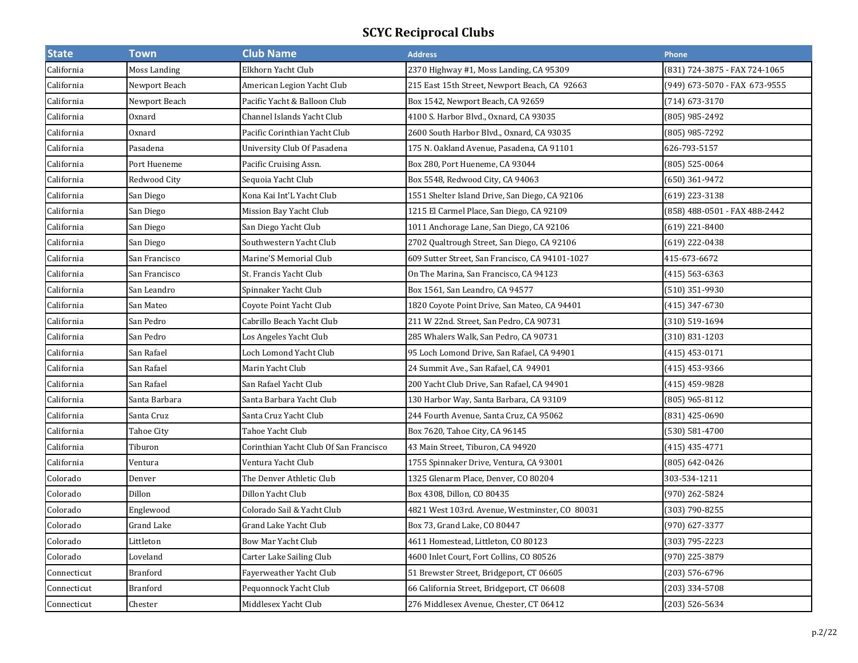| <b>State</b> | <b>Town</b>     | <b>Club Name</b>                       | <b>Address</b>                                  | Phone                         |
|--------------|-----------------|----------------------------------------|-------------------------------------------------|-------------------------------|
| California   | Moss Landing    | Elkhorn Yacht Club                     | 2370 Highway #1, Moss Landing, CA 95309         | (831) 724-3875 - FAX 724-1065 |
| California   | Newport Beach   | American Legion Yacht Club             | 215 East 15th Street, Newport Beach, CA 92663   | (949) 673-5070 - FAX 673-9555 |
| California   | Newport Beach   | Pacific Yacht & Balloon Club           | Box 1542, Newport Beach, CA 92659               | (714) 673-3170                |
| California   | Oxnard          | Channel Islands Yacht Club             | 4100 S. Harbor Blvd., Oxnard, CA 93035          | (805) 985-2492                |
| California   | Oxnard          | Pacific Corinthian Yacht Club          | 2600 South Harbor Blvd., Oxnard, CA 93035       | (805) 985-7292                |
| California   | Pasadena        | University Club Of Pasadena            | 175 N. Oakland Avenue, Pasadena, CA 91101       | 626-793-5157                  |
| California   | Port Hueneme    | Pacific Cruising Assn.                 | Box 280, Port Hueneme, CA 93044                 | (805) 525-0064                |
| California   | Redwood City    | Sequoia Yacht Club                     | Box 5548, Redwood City, CA 94063                | (650) 361-9472                |
| California   | San Diego       | Kona Kai Int'L Yacht Club              | 1551 Shelter Island Drive, San Diego, CA 92106  | (619) 223-3138                |
| California   | San Diego       | Mission Bay Yacht Club                 | 1215 El Carmel Place, San Diego, CA 92109       | (858) 488-0501 - FAX 488-2442 |
| California   | San Diego       | San Diego Yacht Club                   | 1011 Anchorage Lane, San Diego, CA 92106        | (619) 221-8400                |
| California   | San Diego       | Southwestern Yacht Club                | 2702 Qualtrough Street, San Diego, CA 92106     | (619) 222-0438                |
| California   | San Francisco   | Marine'S Memorial Club                 | 609 Sutter Street, San Francisco, CA 94101-1027 | 415-673-6672                  |
| California   | San Francisco   | St. Francis Yacht Club                 | On The Marina, San Francisco, CA 94123          | (415) 563-6363                |
| California   | San Leandro     | Spinnaker Yacht Club                   | Box 1561, San Leandro, CA 94577                 | (510) 351-9930                |
| California   | San Mateo       | Coyote Point Yacht Club                | 1820 Coyote Point Drive, San Mateo, CA 94401    | (415) 347-6730                |
| California   | San Pedro       | Cabrillo Beach Yacht Club              | 211 W 22nd. Street, San Pedro, CA 90731         | (310) 519-1694                |
| California   | San Pedro       | Los Angeles Yacht Club                 | 285 Whalers Walk, San Pedro, CA 90731           | $(310) 831 - 1203$            |
| California   | San Rafael      | Loch Lomond Yacht Club                 | 95 Loch Lomond Drive, San Rafael, CA 94901      | (415) 453-0171                |
| California   | San Rafael      | Marin Yacht Club                       | 24 Summit Ave., San Rafael, CA 94901            | (415) 453-9366                |
| California   | San Rafael      | San Rafael Yacht Club                  | 200 Yacht Club Drive, San Rafael, CA 94901      | (415) 459-9828                |
| California   | Santa Barbara   | Santa Barbara Yacht Club               | 130 Harbor Way, Santa Barbara, CA 93109         | (805) 965-8112                |
| California   | Santa Cruz      | Santa Cruz Yacht Club                  | 244 Fourth Avenue, Santa Cruz, CA 95062         | (831) 425-0690                |
| California   | Tahoe City      | Tahoe Yacht Club                       | Box 7620, Tahoe City, CA 96145                  | (530) 581-4700                |
| California   | Tiburon         | Corinthian Yacht Club Of San Francisco | 43 Main Street, Tiburon, CA 94920               | (415) 435-4771                |
| California   | Ventura         | Ventura Yacht Club                     | 1755 Spinnaker Drive, Ventura, CA 93001         | (805) 642-0426                |
| Colorado     | Denver          | The Denver Athletic Club               | 1325 Glenarm Place, Denver, CO 80204            | 303-534-1211                  |
| Colorado     | Dillon          | Dillon Yacht Club                      | Box 4308, Dillon, CO 80435                      | (970) 262-5824                |
| Colorado     | Englewood       | Colorado Sail & Yacht Club             | 4821 West 103rd. Avenue, Westminster, CO 80031  | (303) 790-8255                |
| Colorado     | Grand Lake      | Grand Lake Yacht Club                  | Box 73, Grand Lake, CO 80447                    | (970) 627-3377                |
| Colorado     | Littleton       | Bow Mar Yacht Club                     | 4611 Homestead, Littleton, CO 80123             | (303) 795-2223                |
| Colorado     | Loveland        | Carter Lake Sailing Club               | 4600 Inlet Court, Fort Collins, CO 80526        | (970) 225-3879                |
| Connecticut  | <b>Branford</b> | Fayerweather Yacht Club                | 51 Brewster Street, Bridgeport, CT 06605        | (203) 576-6796                |
| Connecticut  | <b>Branford</b> | Pequonnock Yacht Club                  | 66 California Street, Bridgeport, CT 06608      | (203) 334-5708                |
| Connecticut  | Chester         | Middlesex Yacht Club                   | 276 Middlesex Avenue, Chester, CT 06412         | (203) 526-5634                |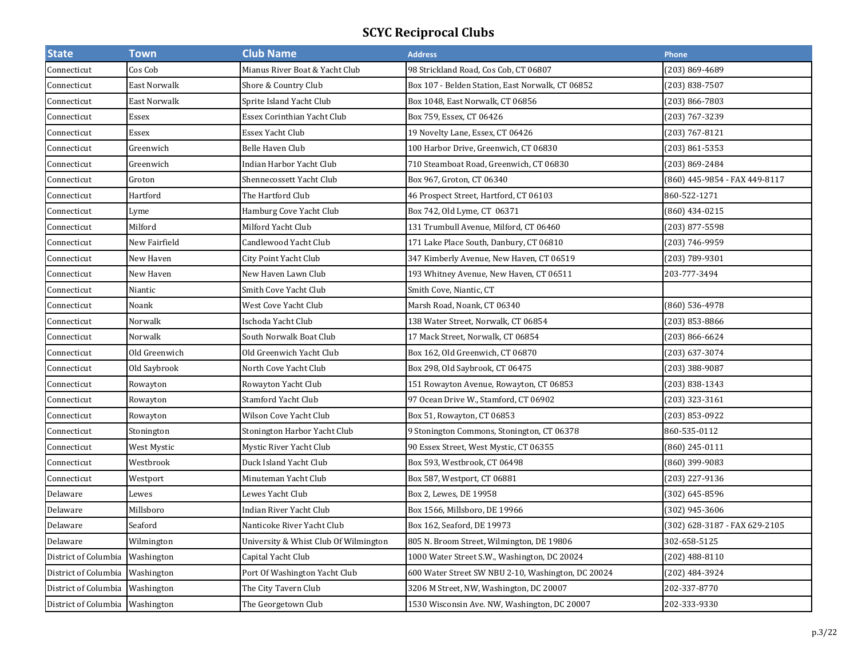| <b>State</b>                    | <b>Town</b>   | <b>Club Name</b>                      | <b>Address</b>                                     | Phone                         |
|---------------------------------|---------------|---------------------------------------|----------------------------------------------------|-------------------------------|
| Connecticut                     | Cos Cob       | Mianus River Boat & Yacht Club        | 98 Strickland Road, Cos Cob, CT 06807              | 203) 869-4689                 |
| Connecticut                     | East Norwalk  | Shore & Country Club                  | Box 107 - Belden Station, East Norwalk, CT 06852   | 203) 838-7507                 |
| Connecticut                     | East Norwalk  | Sprite Island Yacht Club              | Box 1048, East Norwalk, CT 06856                   | (203) 866-7803                |
| Connecticut                     | <b>Essex</b>  | Essex Corinthian Yacht Club           | Box 759, Essex, CT 06426                           | (203) 767-3239                |
| Connecticut                     | Essex         | Essex Yacht Club                      | 19 Novelty Lane, Essex, CT 06426                   | (203) 767-8121                |
| Connecticut                     | Greenwich     | Belle Haven Club                      | 100 Harbor Drive, Greenwich, CT 06830              | (203) 861-5353                |
| Connecticut                     | Greenwich     | Indian Harbor Yacht Club              | 710 Steamboat Road, Greenwich, CT 06830            | (203) 869-2484                |
| Connecticut                     | Groton        | Shennecossett Yacht Club              | Box 967, Groton, CT 06340                          | (860) 445-9854 - FAX 449-8117 |
| Connecticut                     | Hartford      | The Hartford Club                     | 46 Prospect Street, Hartford, CT 06103             | 860-522-1271                  |
| Connecticut                     | Lyme          | Hamburg Cove Yacht Club               | Box 742, Old Lyme, CT 06371                        | (860) 434-0215                |
| Connecticut                     | Milford       | Milford Yacht Club                    | 131 Trumbull Avenue, Milford, CT 06460             | (203) 877-5598                |
| Connecticut                     | New Fairfield | Candlewood Yacht Club                 | 171 Lake Place South, Danbury, CT 06810            | (203) 746-9959                |
| Connecticut                     | New Haven     | City Point Yacht Club                 | 347 Kimberly Avenue, New Haven, CT 06519           | (203) 789-9301                |
| Connecticut                     | New Haven     | New Haven Lawn Club                   | 193 Whitney Avenue, New Haven, CT 06511            | 203-777-3494                  |
| Connecticut                     | Niantic       | Smith Cove Yacht Club                 | Smith Cove, Niantic, CT                            |                               |
| Connecticut                     | Noank         | West Cove Yacht Club                  | Marsh Road, Noank, CT 06340                        | (860) 536-4978                |
| Connecticut                     | Norwalk       | Ischoda Yacht Club                    | 138 Water Street, Norwalk, CT 06854                | (203) 853-8866                |
| Connecticut                     | Norwalk       | South Norwalk Boat Club               | 17 Mack Street, Norwalk, CT 06854                  | (203) 866-6624                |
| Connecticut                     | Old Greenwich | Old Greenwich Yacht Club              | Box 162, Old Greenwich, CT 06870                   | (203) 637-3074                |
| Connecticut                     | Old Saybrook  | North Cove Yacht Club                 | Box 298, Old Saybrook, CT 06475                    | (203) 388-9087                |
| Connecticut                     | Rowayton      | Rowayton Yacht Club                   | 151 Rowayton Avenue, Rowayton, CT 06853            | (203) 838-1343                |
| Connecticut                     | Rowayton      | Stamford Yacht Club                   | 97 Ocean Drive W., Stamford, CT 06902              | (203) 323-3161                |
| Connecticut                     | Rowayton      | Wilson Cove Yacht Club                | Box 51, Rowayton, CT 06853                         | (203) 853-0922                |
| Connecticut                     | Stonington    | Stonington Harbor Yacht Club          | 9 Stonington Commons, Stonington, CT 06378         | 860-535-0112                  |
| Connecticut                     | West Mystic   | Mystic River Yacht Club               | 90 Essex Street, West Mystic, CT 06355             | (860) 245-0111                |
| Connecticut                     | Westbrook     | Duck Island Yacht Club                | Box 593, Westbrook, CT 06498                       | (860) 399-9083                |
| Connecticut                     | Westport      | Minuteman Yacht Club                  | Box 587, Westport, CT 06881                        | (203) 227-9136                |
| Delaware                        | Lewes         | Lewes Yacht Club                      | Box 2, Lewes, DE 19958                             | (302) 645-8596                |
| Delaware                        | Millsboro     | Indian River Yacht Club               | Box 1566, Millsboro, DE 19966                      | (302) 945-3606                |
| Delaware                        | Seaford       | Nanticoke River Yacht Club            | Box 162, Seaford, DE 19973                         | (302) 628-3187 - FAX 629-2105 |
| Delaware                        | Wilmington    | University & Whist Club Of Wilmington | 805 N. Broom Street, Wilmington, DE 19806          | 302-658-5125                  |
| District of Columbia            | Washington    | Capital Yacht Club                    | 1000 Water Street S.W., Washington, DC 20024       | $(202)$ 488-8110              |
| District of Columbia            | Washington    | Port Of Washington Yacht Club         | 600 Water Street SW NBU 2-10, Washington, DC 20024 | (202) 484-3924                |
| District of Columbia            | Washington    | The City Tavern Club                  | 3206 M Street, NW, Washington, DC 20007            | 202-337-8770                  |
| District of Columbia Washington |               | The Georgetown Club                   | 1530 Wisconsin Ave. NW, Washington, DC 20007       | 202-333-9330                  |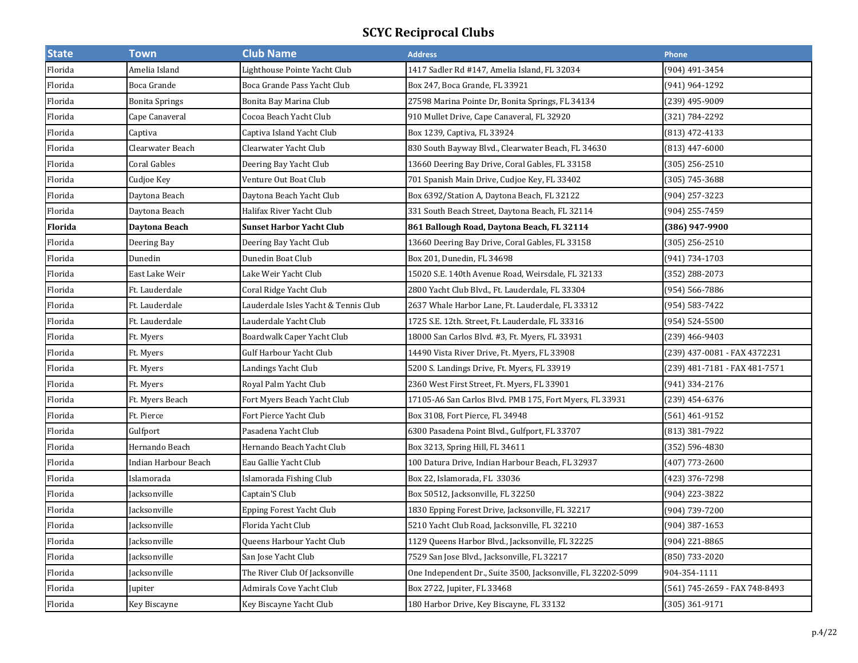| <b>State</b> | <b>Town</b>           | <b>Club Name</b>                     | <b>Address</b>                                               | Phone                         |
|--------------|-----------------------|--------------------------------------|--------------------------------------------------------------|-------------------------------|
| Florida      | Amelia Island         | Lighthouse Pointe Yacht Club         | 1417 Sadler Rd #147, Amelia Island, FL 32034                 | (904) 491-3454                |
| Florida      | Boca Grande           | Boca Grande Pass Yacht Club          | Box 247, Boca Grande, FL 33921                               | (941) 964-1292                |
| Florida      | <b>Bonita Springs</b> | Bonita Bay Marina Club               | 27598 Marina Pointe Dr, Bonita Springs, FL 34134             | (239) 495-9009                |
| Florida      | Cape Canaveral        | Cocoa Beach Yacht Club               | 910 Mullet Drive, Cape Canaveral, FL 32920                   | (321) 784-2292                |
| Florida      | Captiva               | Captiva Island Yacht Club            | Box 1239, Captiva, FL 33924                                  | (813) 472-4133                |
| Florida      | Clearwater Beach      | Clearwater Yacht Club                | 830 South Bayway Blvd., Clearwater Beach, FL 34630           | (813) 447-6000                |
| Florida      | Coral Gables          | Deering Bay Yacht Club               | 13660 Deering Bay Drive, Coral Gables, FL 33158              | $(305)$ 256-2510              |
| Florida      | Cudjoe Key            | Venture Out Boat Club                | 701 Spanish Main Drive, Cudjoe Key, FL 33402                 | (305) 745-3688                |
| Florida      | Daytona Beach         | Daytona Beach Yacht Club             | Box 6392/Station A, Daytona Beach, FL 32122                  | (904) 257-3223                |
| Florida      | Daytona Beach         | Halifax River Yacht Club             | 331 South Beach Street, Daytona Beach, FL 32114              | (904) 255-7459                |
| Florida      | Daytona Beach         | <b>Sunset Harbor Yacht Club</b>      | 861 Ballough Road, Daytona Beach, FL 32114                   | (386) 947-9900                |
| Florida      | Deering Bay           | Deering Bay Yacht Club               | 13660 Deering Bay Drive, Coral Gables, FL 33158              | (305) 256-2510                |
| Florida      | Dunedin               | Dunedin Boat Club                    | Box 201, Dunedin, FL 34698                                   | (941) 734-1703                |
| Florida      | East Lake Weir        | Lake Weir Yacht Club                 | 15020 S.E. 140th Avenue Road, Weirsdale, FL 32133            | (352) 288-2073                |
| Florida      | Ft. Lauderdale        | Coral Ridge Yacht Club               | 2800 Yacht Club Blvd., Ft. Lauderdale, FL 33304              | (954) 566-7886                |
| Florida      | Ft. Lauderdale        | Lauderdale Isles Yacht & Tennis Club | 2637 Whale Harbor Lane, Ft. Lauderdale, FL 33312             | (954) 583-7422                |
| Florida      | Ft. Lauderdale        | Lauderdale Yacht Club                | 1725 S.E. 12th. Street, Ft. Lauderdale, FL 33316             | (954) 524-5500                |
| Florida      | Ft. Myers             | Boardwalk Caper Yacht Club           | 18000 San Carlos Blvd. #3, Ft. Myers, FL 33931               | (239) 466-9403                |
| Florida      | Ft. Myers             | Gulf Harbour Yacht Club              | 14490 Vista River Drive, Ft. Myers, FL 33908                 | (239) 437-0081 - FAX 4372231  |
| Florida      | Ft. Myers             | Landings Yacht Club                  | 5200 S. Landings Drive, Ft. Myers, FL 33919                  | (239) 481-7181 - FAX 481-7571 |
| Florida      | Ft. Myers             | Royal Palm Yacht Club                | 2360 West First Street, Ft. Myers, FL 33901                  | (941) 334-2176                |
| Florida      | Ft. Myers Beach       | Fort Myers Beach Yacht Club          | 17105-A6 San Carlos Blvd. PMB 175, Fort Myers, FL 33931      | (239) 454-6376                |
| Florida      | Ft. Pierce            | Fort Pierce Yacht Club               | Box 3108, Fort Pierce, FL 34948                              | (561) 461-9152                |
| Florida      | Gulfport              | Pasadena Yacht Club                  | 6300 Pasadena Point Blvd., Gulfport, FL 33707                | (813) 381-7922                |
| Florida      | Hernando Beach        | Hernando Beach Yacht Club            | Box 3213, Spring Hill, FL 34611                              | (352) 596-4830                |
| Florida      | Indian Harbour Beach  | Eau Gallie Yacht Club                | 100 Datura Drive, Indian Harbour Beach, FL 32937             | (407) 773-2600                |
| Florida      | Islamorada            | Islamorada Fishing Club              | Box 22, Islamorada, FL 33036                                 | (423) 376-7298                |
| Florida      | Jacksonville          | Captain'S Club                       | Box 50512, Jacksonville, FL 32250                            | (904) 223-3822                |
| Florida      | Jacksonville          | Epping Forest Yacht Club             | 1830 Epping Forest Drive, Jacksonville, FL 32217             | (904) 739-7200                |
| Florida      | Jacksonville          | Florida Yacht Club                   | 5210 Yacht Club Road, Jacksonville, FL 32210                 | (904) 387-1653                |
| Florida      | Jacksonville          | Queens Harbour Yacht Club            | 1129 Queens Harbor Blvd., Jacksonville, FL 32225             | (904) 221-8865                |
| Florida      | Jacksonville          | San Jose Yacht Club                  | 7529 San Jose Blvd., Jacksonville, FL 32217                  | (850) 733-2020                |
| Florida      | Jacksonville          | The River Club Of Jacksonville       | One Independent Dr., Suite 3500, Jacksonville, FL 32202-5099 | 904-354-1111                  |
| Florida      | Jupiter               | Admirals Cove Yacht Club             | Box 2722, Jupiter, FL 33468                                  | (561) 745-2659 - FAX 748-8493 |
| Florida      | Key Biscayne          | Key Biscayne Yacht Club              | 180 Harbor Drive, Key Biscayne, FL 33132                     | (305) 361-9171                |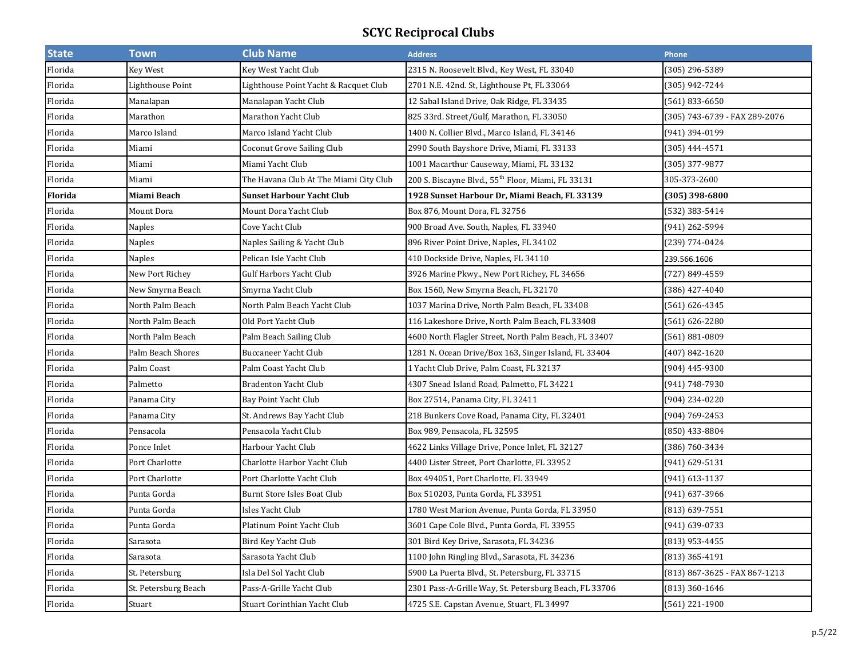| <b>State</b>   | <b>Town</b>          | <b>Club Name</b>                       | <b>Address</b>                                                 | Phone                         |
|----------------|----------------------|----------------------------------------|----------------------------------------------------------------|-------------------------------|
| Florida        | Key West             | Key West Yacht Club                    | 2315 N. Roosevelt Blvd., Key West, FL 33040                    | (305) 296-5389                |
| Florida        | Lighthouse Point     | Lighthouse Point Yacht & Racquet Club  | 2701 N.E. 42nd. St, Lighthouse Pt, FL 33064                    | (305) 942-7244                |
| Florida        | Manalapan            | Manalapan Yacht Club                   | 12 Sabal Island Drive, Oak Ridge, FL 33435                     | (561) 833-6650                |
| Florida        | Marathon             | Marathon Yacht Club                    | 825 33rd. Street/Gulf, Marathon, FL 33050                      | (305) 743-6739 - FAX 289-2076 |
| Florida        | Marco Island         | Marco Island Yacht Club                | 1400 N. Collier Blvd., Marco Island, FL 34146                  | (941) 394-0199                |
| Florida        | Miami                | <b>Coconut Grove Sailing Club</b>      | 2990 South Bayshore Drive, Miami, FL 33133                     | $(305)$ 444-4571              |
| Florida        | Miami                | Miami Yacht Club                       | 1001 Macarthur Causeway, Miami, FL 33132                       | (305) 377-9877                |
| Florida        | Miami                | The Havana Club At The Miami City Club | 200 S. Biscayne Blvd., 55 <sup>th</sup> Floor, Miami, FL 33131 | 305-373-2600                  |
| <b>Florida</b> | Miami Beach          | <b>Sunset Harbour Yacht Club</b>       | 1928 Sunset Harbour Dr, Miami Beach, FL 33139                  | (305) 398-6800                |
| Florida        | Mount Dora           | Mount Dora Yacht Club                  | Box 876, Mount Dora, FL 32756                                  | (532) 383-5414                |
| Florida        | Naples               | Cove Yacht Club                        | 900 Broad Ave. South, Naples, FL 33940                         | (941) 262-5994                |
| Florida        | Naples               | Naples Sailing & Yacht Club            | 896 River Point Drive, Naples, FL 34102                        | (239) 774-0424                |
| Florida        | Naples               | Pelican Isle Yacht Club                | 410 Dockside Drive, Naples, FL 34110                           | 239.566.1606                  |
| Florida        | New Port Richey      | <b>Gulf Harbors Yacht Club</b>         | 3926 Marine Pkwy., New Port Richey, FL 34656                   | (727) 849-4559                |
| Florida        | New Smyrna Beach     | Smyrna Yacht Club                      | Box 1560, New Smyrna Beach, FL 32170                           | (386) 427-4040                |
| Florida        | North Palm Beach     | North Palm Beach Yacht Club            | 1037 Marina Drive, North Palm Beach, FL 33408                  | (561) 626-4345                |
| Florida        | North Palm Beach     | Old Port Yacht Club                    | 116 Lakeshore Drive, North Palm Beach, FL 33408                | (561) 626-2280                |
| Florida        | North Palm Beach     | Palm Beach Sailing Club                | 4600 North Flagler Street, North Palm Beach, FL 33407          | (561) 881-0809                |
| Florida        | Palm Beach Shores    | <b>Buccaneer Yacht Club</b>            | 1281 N. Ocean Drive/Box 163, Singer Island, FL 33404           | (407) 842-1620                |
| Florida        | Palm Coast           | Palm Coast Yacht Club                  | 1 Yacht Club Drive, Palm Coast, FL 32137                       | (904) 445-9300                |
| Florida        | Palmetto             | <b>Bradenton Yacht Club</b>            | 4307 Snead Island Road, Palmetto, FL 34221                     | (941) 748-7930                |
| Florida        | Panama City          | Bay Point Yacht Club                   | Box 27514, Panama City, FL 32411                               | (904) 234-0220                |
| Florida        | Panama City          | St. Andrews Bay Yacht Club             | 218 Bunkers Cove Road, Panama City, FL 32401                   | (904) 769-2453                |
| Florida        | Pensacola            | Pensacola Yacht Club                   | Box 989, Pensacola, FL 32595                                   | (850) 433-8804                |
| Florida        | Ponce Inlet          | Harbour Yacht Club                     | 4622 Links Village Drive, Ponce Inlet, FL 32127                | (386) 760-3434                |
| Florida        | Port Charlotte       | Charlotte Harbor Yacht Club            | 4400 Lister Street, Port Charlotte, FL 33952                   | (941) 629-5131                |
| Florida        | Port Charlotte       | Port Charlotte Yacht Club              | Box 494051, Port Charlotte, FL 33949                           | (941) 613-1137                |
| Florida        | Punta Gorda          | Burnt Store Isles Boat Club            | Box 510203, Punta Gorda, FL 33951                              | (941) 637-3966                |
| Florida        | Punta Gorda          | Isles Yacht Club                       | 1780 West Marion Avenue, Punta Gorda, FL 33950                 | (813) 639-7551                |
| Florida        | Punta Gorda          | Platinum Point Yacht Club              | 3601 Cape Cole Blvd., Punta Gorda, FL 33955                    | (941) 639-0733                |
| Florida        | Sarasota             | Bird Key Yacht Club                    | 301 Bird Key Drive, Sarasota, FL 34236                         | (813) 953-4455                |
| Florida        | Sarasota             | Sarasota Yacht Club                    | 1100 John Ringling Blvd., Sarasota, FL 34236                   | $(813)$ 365-4191              |
| Florida        | St. Petersburg       | Isla Del Sol Yacht Club                | 5900 La Puerta Blvd., St. Petersburg, FL 33715                 | (813) 867-3625 - FAX 867-1213 |
| Florida        | St. Petersburg Beach | Pass-A-Grille Yacht Club               | 2301 Pass-A-Grille Way, St. Petersburg Beach, FL 33706         | (813) 360-1646                |
| Florida        | Stuart               | Stuart Corinthian Yacht Club           | 4725 S.E. Capstan Avenue, Stuart, FL 34997                     | (561) 221-1900                |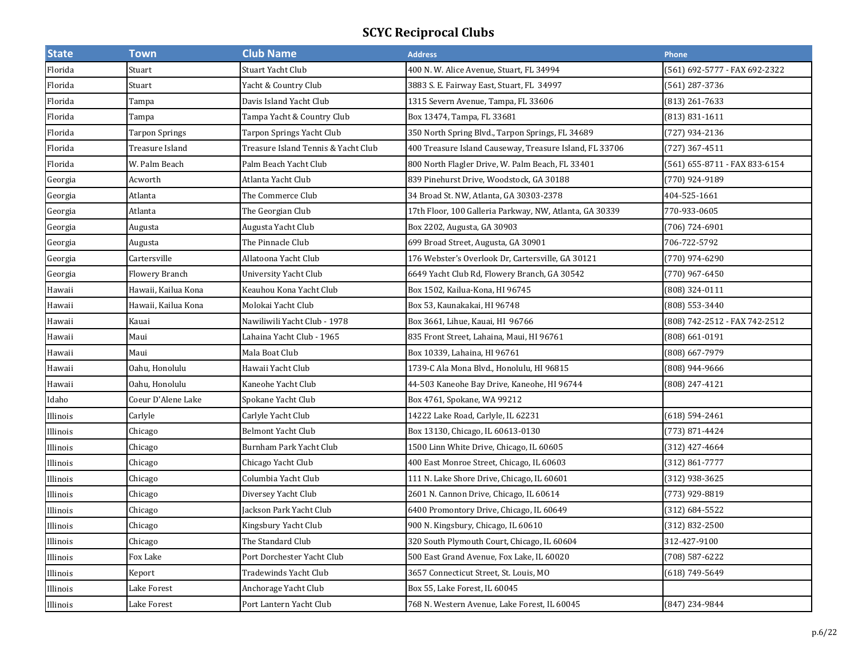| <b>State</b> | <b>Town</b>           | <b>Club Name</b>                    | <b>Address</b>                                          | Phone                         |
|--------------|-----------------------|-------------------------------------|---------------------------------------------------------|-------------------------------|
| Florida      | Stuart                | Stuart Yacht Club                   | 400 N. W. Alice Avenue, Stuart, FL 34994                | [561] 692-5777 - FAX 692-2322 |
| Florida      | Stuart                | Yacht & Country Club                | 3883 S. E. Fairway East, Stuart, FL 34997               | (561) 287-3736                |
| Florida      | Tampa                 | Davis Island Yacht Club             | 1315 Severn Avenue, Tampa, FL 33606                     | (813) 261-7633                |
| Florida      | Tampa                 | Tampa Yacht & Country Club          | Box 13474, Tampa, FL 33681                              | (813) 831-1611                |
| Florida      | Tarpon Springs        | Tarpon Springs Yacht Club           | 350 North Spring Blvd., Tarpon Springs, FL 34689        | (727) 934-2136                |
| Florida      | Treasure Island       | Treasure Island Tennis & Yacht Club | 400 Treasure Island Causeway, Treasure Island, FL 33706 | (727) 367-4511                |
| Florida      | W. Palm Beach         | Palm Beach Yacht Club               | 800 North Flagler Drive, W. Palm Beach, FL 33401        | (561) 655-8711 - FAX 833-6154 |
| Georgia      | Acworth               | Atlanta Yacht Club                  | 839 Pinehurst Drive, Woodstock, GA 30188                | (770) 924-9189                |
| Georgia      | Atlanta               | The Commerce Club                   | 34 Broad St. NW, Atlanta, GA 30303-2378                 | 404-525-1661                  |
| Georgia      | Atlanta               | The Georgian Club                   | 17th Floor, 100 Galleria Parkway, NW, Atlanta, GA 30339 | 770-933-0605                  |
| Georgia      | Augusta               | Augusta Yacht Club                  | Box 2202, Augusta, GA 30903                             | (706) 724-6901                |
| Georgia      | Augusta               | The Pinnacle Club                   | 699 Broad Street, Augusta, GA 30901                     | 706-722-5792                  |
| Georgia      | Cartersville          | Allatoona Yacht Club                | 176 Webster's Overlook Dr, Cartersville, GA 30121       | (770) 974-6290                |
| Georgia      | <b>Flowery Branch</b> | University Yacht Club               | 6649 Yacht Club Rd, Flowery Branch, GA 30542            | (770) 967-6450                |
| Hawaii       | Hawaii, Kailua Kona   | Keauhou Kona Yacht Club             | Box 1502, Kailua-Kona, HI 96745                         | (808) 324-0111                |
| Hawaii       | Hawaii, Kailua Kona   | Molokai Yacht Club                  | Box 53, Kaunakakai, HI 96748                            | (808) 553-3440                |
| Hawaii       | Kauai                 | Nawiliwili Yacht Club - 1978        | Box 3661, Lihue, Kauai, HI 96766                        | (808) 742-2512 - FAX 742-2512 |
| Hawaii       | Maui                  | Lahaina Yacht Club - 1965           | 835 Front Street, Lahaina, Maui, HI 96761               | (808) 661-0191                |
| Hawaii       | Maui                  | Mala Boat Club                      | Box 10339, Lahaina, HI 96761                            | (808) 667-7979                |
| Hawaii       | Oahu, Honolulu        | Hawaii Yacht Club                   | 1739-C Ala Mona Blvd., Honolulu, HI 96815               | (808) 944-9666                |
| Hawaii       | Oahu, Honolulu        | Kaneohe Yacht Club                  | 44-503 Kaneohe Bay Drive, Kaneohe, HI 96744             | (808) 247-4121                |
| Idaho        | Coeur D'Alene Lake    | Spokane Yacht Club                  | Box 4761, Spokane, WA 99212                             |                               |
| Illinois     | Carlyle               | Carlyle Yacht Club                  | 14222 Lake Road, Carlyle, IL 62231                      | $(618) 594 - 2461$            |
| Illinois     | Chicago               | <b>Belmont Yacht Club</b>           | Box 13130, Chicago, IL 60613-0130                       | (773) 871-4424                |
| Illinois     | Chicago               | Burnham Park Yacht Club             | 1500 Linn White Drive, Chicago, IL 60605                | (312) 427-4664                |
| Illinois     | Chicago               | Chicago Yacht Club                  | 400 East Monroe Street, Chicago, IL 60603               | (312) 861-7777                |
| Illinois     | Chicago               | Columbia Yacht Club                 | 111 N. Lake Shore Drive, Chicago, IL 60601              | (312) 938-3625                |
| Illinois     | Chicago               | Diversey Yacht Club                 | 2601 N. Cannon Drive, Chicago, IL 60614                 | (773) 929-8819                |
| Illinois     | Chicago               | Jackson Park Yacht Club             | 6400 Promontory Drive, Chicago, IL 60649                | (312) 684-5522                |
| Illinois     | Chicago               | Kingsbury Yacht Club                | 900 N. Kingsbury, Chicago, IL 60610                     | (312) 832-2500                |
| Illinois     | Chicago               | The Standard Club                   | 320 South Plymouth Court, Chicago, IL 60604             | 312-427-9100                  |
| Illinois     | Fox Lake              | Port Dorchester Yacht Club          | 500 East Grand Avenue, Fox Lake, IL 60020               | (708) 587-6222                |
| Illinois     | Keport                | Tradewinds Yacht Club               | 3657 Connecticut Street, St. Louis, MO                  | (618) 749-5649                |
| Illinois     | Lake Forest           | Anchorage Yacht Club                | Box 55, Lake Forest, IL 60045                           |                               |
| Illinois     | Lake Forest           | Port Lantern Yacht Club             | 768 N. Western Avenue, Lake Forest, IL 60045            | (847) 234-9844                |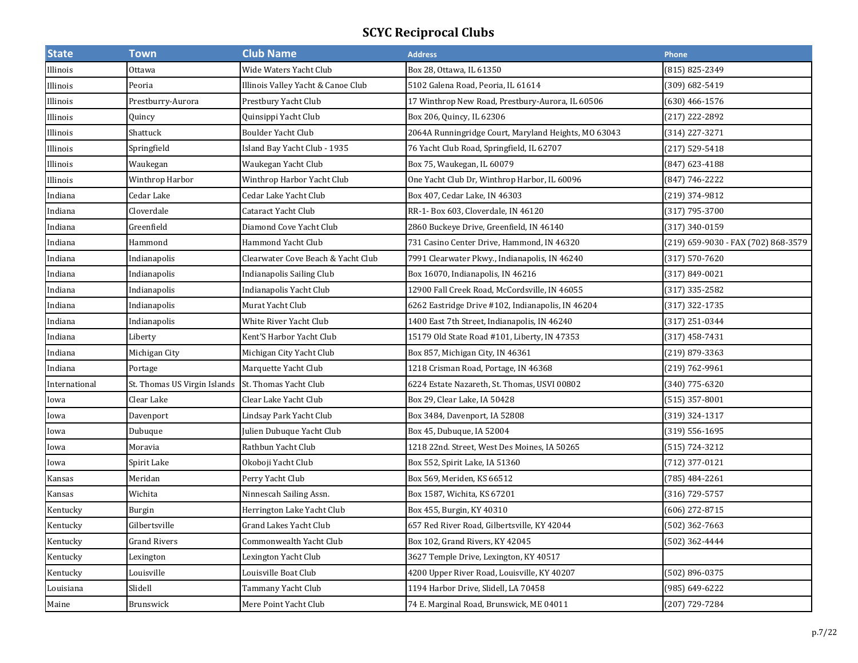| <b>State</b>  | <u>Town</u>                  | <b>Club Name</b>                   | <b>Address</b>                                       | Phone                               |
|---------------|------------------------------|------------------------------------|------------------------------------------------------|-------------------------------------|
| Illinois      | Ottawa                       | Wide Waters Yacht Club             | Box 28, Ottawa, IL 61350                             | (815) 825-2349                      |
| Illinois      | Peoria                       | Illinois Valley Yacht & Canoe Club | 5102 Galena Road, Peoria, IL 61614                   | (309) 682-5419                      |
| Illinois      | Prestburry-Aurora            | Prestbury Yacht Club               | 17 Winthrop New Road, Prestbury-Aurora, IL 60506     | $(630)$ 466-1576                    |
| Illinois      | Quincy                       | Quinsippi Yacht Club               | Box 206, Quincy, IL 62306                            | (217) 222-2892                      |
| Illinois      | Shattuck                     | Boulder Yacht Club                 | 2064A Runningridge Court, Maryland Heights, MO 63043 | (314) 227-3271                      |
| Illinois      | Springfield                  | Island Bay Yacht Club - 1935       | 76 Yacht Club Road, Springfield, IL 62707            | (217) 529-5418                      |
| Illinois      | Waukegan                     | Waukegan Yacht Club                | Box 75, Waukegan, IL 60079                           | (847) 623-4188                      |
| Illinois      | Winthrop Harbor              | Winthrop Harbor Yacht Club         | One Yacht Club Dr, Winthrop Harbor, IL 60096         | (847) 746-2222                      |
| Indiana       | Cedar Lake                   | Cedar Lake Yacht Club              | Box 407, Cedar Lake, IN 46303                        | (219) 374-9812                      |
| Indiana       | Cloverdale                   | Cataract Yacht Club                | RR-1- Box 603, Cloverdale, IN 46120                  | (317) 795-3700                      |
| Indiana       | Greenfield                   | Diamond Cove Yacht Club            | 2860 Buckeye Drive, Greenfield, IN 46140             | (317) 340-0159                      |
| Indiana       | Hammond                      | Hammond Yacht Club                 | 731 Casino Center Drive, Hammond, IN 46320           | (219) 659-9030 - FAX (702) 868-3579 |
| Indiana       | Indianapolis                 | Clearwater Cove Beach & Yacht Club | 7991 Clearwater Pkwy., Indianapolis, IN 46240        | (317) 570-7620                      |
| Indiana       | Indianapolis                 | Indianapolis Sailing Club          | Box 16070, Indianapolis, IN 46216                    | (317) 849-0021                      |
| Indiana       | Indianapolis                 | Indianapolis Yacht Club            | 12900 Fall Creek Road, McCordsville, IN 46055        | (317) 335-2582                      |
| Indiana       | Indianapolis                 | Murat Yacht Club                   | 6262 Eastridge Drive #102, Indianapolis, IN 46204    | (317) 322-1735                      |
| Indiana       | Indianapolis                 | White River Yacht Club             | 1400 East 7th Street, Indianapolis, IN 46240         | (317) 251-0344                      |
| Indiana       | Liberty                      | Kent'S Harbor Yacht Club           | 15179 Old State Road #101, Liberty, IN 47353         | (317) 458-7431                      |
| Indiana       | Michigan City                | Michigan City Yacht Club           | Box 857, Michigan City, IN 46361                     | (219) 879-3363                      |
| Indiana       | Portage                      | Marquette Yacht Club               | 1218 Crisman Road, Portage, IN 46368                 | (219) 762-9961                      |
| International | St. Thomas US Virgin Islands | St. Thomas Yacht Club              | 6224 Estate Nazareth, St. Thomas, USVI 00802         | (340) 775-6320                      |
| Iowa          | Clear Lake                   | Clear Lake Yacht Club              | Box 29, Clear Lake, IA 50428                         | (515) 357-8001                      |
| Iowa          | Davenport                    | Lindsay Park Yacht Club            | Box 3484, Davenport, IA 52808                        | (319) 324-1317                      |
| Iowa          | Dubuque                      | Julien Dubuque Yacht Club          | Box 45, Dubuque, IA 52004                            | (319) 556-1695                      |
| Iowa          | Moravia                      | Rathbun Yacht Club                 | 1218 22nd. Street, West Des Moines, IA 50265         | (515) 724-3212                      |
| Iowa          | Spirit Lake                  | Okoboji Yacht Club                 | Box 552, Spirit Lake, IA 51360                       | (712) 377-0121                      |
| Kansas        | Meridan                      | Perry Yacht Club                   | Box 569, Meriden, KS 66512                           | (785) 484-2261                      |
| Kansas        | Wichita                      | Ninnescah Sailing Assn.            | Box 1587, Wichita, KS 67201                          | (316) 729-5757                      |
| Kentucky      | Burgin                       | Herrington Lake Yacht Club         | Box 455, Burgin, KY 40310                            | (606) 272-8715                      |
| Kentucky      | Gilbertsville                | Grand Lakes Yacht Club             | 657 Red River Road, Gilbertsville, KY 42044          | (502) 362-7663                      |
| Kentucky      | <b>Grand Rivers</b>          | Commonwealth Yacht Club            | Box 102, Grand Rivers, KY 42045                      | (502) 362-4444                      |
| Kentucky      | Lexington                    | Lexington Yacht Club               | 3627 Temple Drive, Lexington, KY 40517               |                                     |
| Kentucky      | Louisville                   | Louisville Boat Club               | 4200 Upper River Road, Louisville, KY 40207          | (502) 896-0375                      |
| Louisiana     | Slidell                      | Tammany Yacht Club                 | 1194 Harbor Drive, Slidell, LA 70458                 | (985) 649-6222                      |
| Maine         | Brunswick                    | Mere Point Yacht Club              | 74 E. Marginal Road, Brunswick, ME 04011             | (207) 729-7284                      |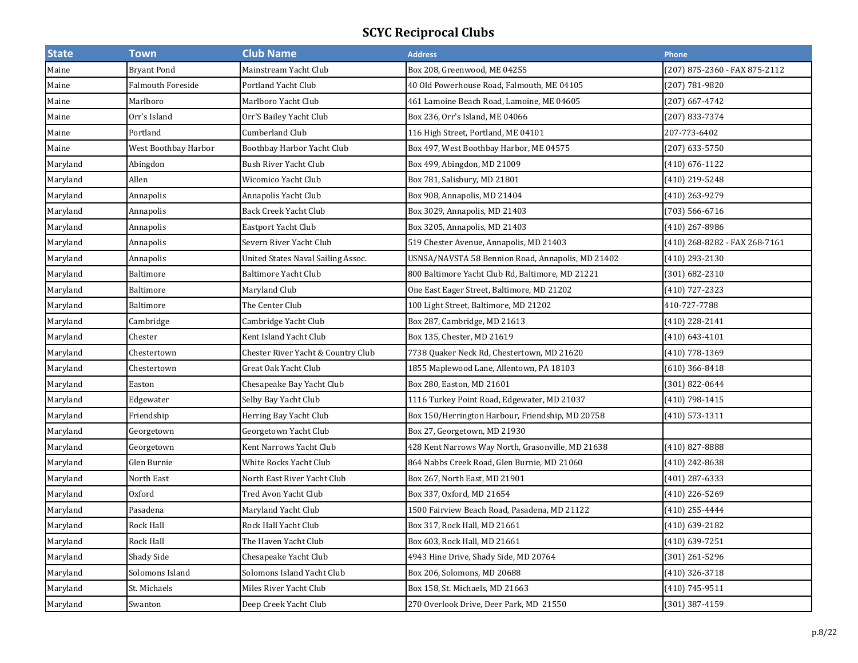| <b>State</b> | Town                 | <b>Club Name</b>                   | <b>Address</b>                                    | Phone                         |
|--------------|----------------------|------------------------------------|---------------------------------------------------|-------------------------------|
| Maine        | <b>Bryant Pond</b>   | Mainstream Yacht Club              | Box 208, Greenwood, ME 04255                      | (207) 875-2360 - FAX 875-2112 |
| Maine        | Falmouth Foreside    | Portland Yacht Club                | 40 Old Powerhouse Road, Falmouth, ME 04105        | (207) 781-9820                |
| Maine        | Marlboro             | Marlboro Yacht Club                | 461 Lamoine Beach Road, Lamoine, ME 04605         | (207) 667-4742                |
| Maine        | Orr's Island         | Orr'S Bailey Yacht Club            | Box 236, Orr's Island, ME 04066                   | (207) 833-7374                |
| Maine        | Portland             | Cumberland Club                    | 116 High Street, Portland, ME 04101               | 207-773-6402                  |
| Maine        | West Boothbay Harbor | Boothbay Harbor Yacht Club         | Box 497, West Boothbay Harbor, ME 04575           | (207) 633-5750                |
| Maryland     | Abingdon             | Bush River Yacht Club              | Box 499, Abingdon, MD 21009                       | $(410) 676 - 1122$            |
| Maryland     | Allen                | Wicomico Yacht Club                | Box 781, Salisbury, MD 21801                      | (410) 219-5248                |
| Maryland     | Annapolis            | Annapolis Yacht Club               | Box 908, Annapolis, MD 21404                      | (410) 263-9279                |
| Maryland     | Annapolis            | Back Creek Yacht Club              | Box 3029, Annapolis, MD 21403                     | (703) 566-6716                |
| Maryland     | Annapolis            | Eastport Yacht Club                | Box 3205, Annapolis, MD 21403                     | (410) 267-8986                |
| Maryland     | Annapolis            | Severn River Yacht Club            | 519 Chester Avenue, Annapolis, MD 21403           | (410) 268-8282 - FAX 268-7161 |
| Maryland     | Annapolis            | United States Naval Sailing Assoc. | USNSA/NAVSTA 58 Bennion Road, Annapolis, MD 21402 | (410) 293-2130                |
| Maryland     | Baltimore            | Baltimore Yacht Club               | 800 Baltimore Yacht Club Rd, Baltimore, MD 21221  | (301) 682-2310                |
| Maryland     | Baltimore            | Maryland Club                      | One East Eager Street, Baltimore, MD 21202        | (410) 727-2323                |
| Maryland     | Baltimore            | The Center Club                    | 100 Light Street, Baltimore, MD 21202             | 410-727-7788                  |
| Maryland     | Cambridge            | Cambridge Yacht Club               | Box 287, Cambridge, MD 21613                      | (410) 228-2141                |
| Maryland     | Chester              | Kent Island Yacht Club             | Box 135, Chester, MD 21619                        | $(410) 643 - 4101$            |
| Maryland     | Chestertown          | Chester River Yacht & Country Club | 7738 Quaker Neck Rd, Chestertown, MD 21620        | (410) 778-1369                |
| Maryland     | Chestertown          | Great Oak Yacht Club               | 1855 Maplewood Lane, Allentown, PA 18103          | $(610)$ 366-8418              |
| Maryland     | Easton               | Chesapeake Bay Yacht Club          | Box 280, Easton, MD 21601                         | (301) 822-0644                |
| Maryland     | Edgewater            | Selby Bay Yacht Club               | 1116 Turkey Point Road, Edgewater, MD 21037       | (410) 798-1415                |
| Maryland     | Friendship           | Herring Bay Yacht Club             | Box 150/Herrington Harbour, Friendship, MD 20758  | (410) 573-1311                |
| Maryland     | Georgetown           | Georgetown Yacht Club              | Box 27, Georgetown, MD 21930                      |                               |
| Maryland     | Georgetown           | Kent Narrows Yacht Club            | 428 Kent Narrows Way North, Grasonville, MD 21638 | $(410)$ 827-8888              |
| Maryland     | Glen Burnie          | White Rocks Yacht Club             | 864 Nabbs Creek Road, Glen Burnie, MD 21060       | (410) 242-8638                |
| Maryland     | North East           | North East River Yacht Club        | Box 267, North East, MD 21901                     | (401) 287-6333                |
| Maryland     | Oxford               | Tred Avon Yacht Club               | Box 337, Oxford, MD 21654                         | (410) 226-5269                |
| Maryland     | Pasadena             | Maryland Yacht Club                | 1500 Fairview Beach Road, Pasadena, MD 21122      | (410) 255-4444                |
| Maryland     | Rock Hall            | Rock Hall Yacht Club               | Box 317, Rock Hall, MD 21661                      | (410) 639-2182                |
| Maryland     | Rock Hall            | The Haven Yacht Club               | Box 603, Rock Hall, MD 21661                      | (410) 639-7251                |
| Maryland     | Shady Side           | Chesapeake Yacht Club              | 4943 Hine Drive, Shady Side, MD 20764             | (301) 261-5296                |
| Maryland     | Solomons Island      | Solomons Island Yacht Club         | Box 206, Solomons, MD 20688                       | (410) 326-3718                |
| Maryland     | St. Michaels         | Miles River Yacht Club             | Box 158, St. Michaels, MD 21663                   | $(410) 745 - 9511$            |
| Maryland     | Swanton              | Deep Creek Yacht Club              | 270 Overlook Drive, Deer Park, MD 21550           | (301) 387-4159                |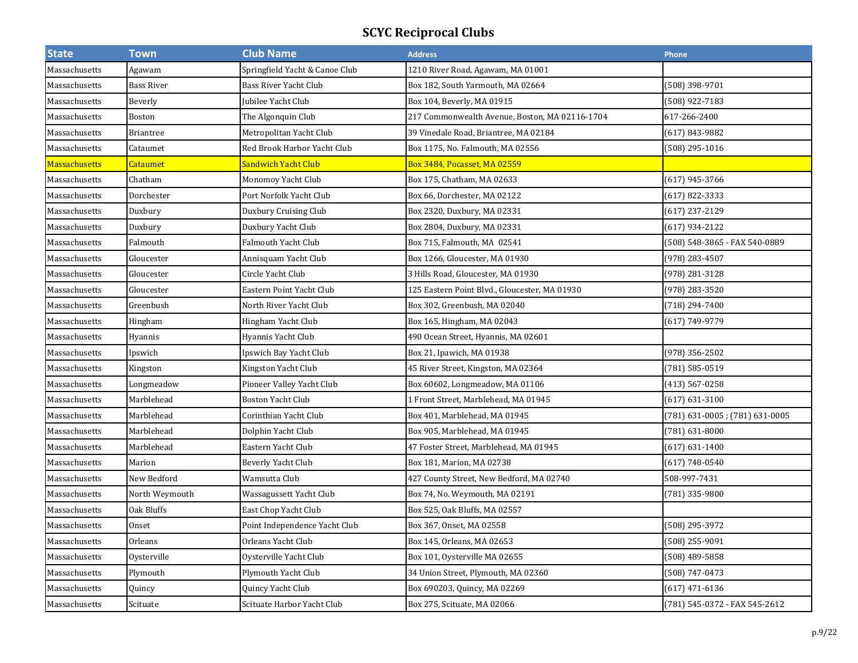| <b>State</b>  | <b>Town</b>      | <b>Club Name</b>               | <b>Address</b>                                 | Phone                          |
|---------------|------------------|--------------------------------|------------------------------------------------|--------------------------------|
| Massachusetts | Agawam           | Springfield Yacht & Canoe Club | 1210 River Road, Agawam, MA 01001              |                                |
| Massachusetts | Bass River       | Bass River Yacht Club          | Box 182, South Yarmouth, MA 02664              | (508) 398-9701                 |
| Massachusetts | Beverly          | Jubilee Yacht Club             | Box 104, Beverly, MA 01915                     | (508) 922-7183                 |
| Massachusetts | Boston           | The Algonquin Club             | 217 Commonwealth Avenue, Boston, MA 02116-1704 | 617-266-2400                   |
| Massachusetts | <b>Briantree</b> | Metropolitan Yacht Club        | 39 Vinedale Road, Briantree, MA 02184          | (617) 843-9882                 |
| Massachusetts | Cataumet         | Red Brook Harbor Yacht Club    | Box 1175, No. Falmouth, MA 02556               | (508) 295-1016                 |
| Massachusetts | Cataumet         | Sandwich Yacht Club            | Box 3484, Pocasset, MA 02559                   |                                |
| Massachusetts | Chatham          | Monomoy Yacht Club             | Box 175, Chatham, MA 02633                     | (617) 945-3766                 |
| Massachusetts | Dorchester       | Port Norfolk Yacht Club        | Box 66, Dorchester, MA 02122                   | (617) 822-3333                 |
| Massachusetts | Duxbury          | Duxbury Cruising Club          | Box 2320, Duxbury, MA 02331                    | $(617)$ 237-2129               |
| Massachusetts | Duxbury          | Duxbury Yacht Club             | Box 2804, Duxbury, MA 02331                    | $(617)$ 934-2122               |
| Massachusetts | Falmouth         | Falmouth Yacht Club            | Box 715, Falmouth, MA 02541                    | (508) 548-3865 - FAX 540-0889  |
| Massachusetts | Gloucester       | Annisquam Yacht Club           | Box 1266, Gloucester, MA 01930                 | (978) 283-4507                 |
| Massachusetts | Gloucester       | Circle Yacht Club              | 3 Hills Road, Gloucester, MA 01930             | (978) 281-3128                 |
| Massachusetts | Gloucester       | Eastern Point Yacht Club       | 125 Eastern Point Blvd., Gloucester, MA 01930  | (978) 283-3520                 |
| Massachusetts | Greenbush        | North River Yacht Club         | Box 302, Greenbush, MA 02040                   | (718) 294-7400                 |
| Massachusetts | Hingham          | Hingham Yacht Club             | Box 165, Hingham, MA 02043                     | (617) 749-9779                 |
| Massachusetts | Hyannis          | Hyannis Yacht Club             | 490 Ocean Street, Hyannis, MA 02601            |                                |
| Massachusetts | Ipswich          | Ipswich Bay Yacht Club         | Box 21, Ipawich, MA 01938                      | (978) 356-2502                 |
| Massachusetts | Kingston         | Kingston Yacht Club            | 45 River Street, Kingston, MA 02364            | (781) 585-0519                 |
| Massachusetts | Longmeadow       | Pioneer Valley Yacht Club      | Box 60602, Longmeadow, MA 01106                | $(413) 567 - 0258$             |
| Massachusetts | Marblehead       | <b>Boston Yacht Club</b>       | 1 Front Street, Marblehead, MA 01945           | $(617) 631 - 3100$             |
| Massachusetts | Marblehead       | Corinthian Yacht Club          | Box 401, Marblehead, MA 01945                  | (781) 631-0005; (781) 631-0005 |
| Massachusetts | Marblehead       | Dolphin Yacht Club             | Box 905, Marblehead, MA 01945                  | $(781) 631 - 8000$             |
| Massachusetts | Marblehead       | Eastern Yacht Club             | 47 Foster Street, Marblehead, MA 01945         | $(617) 631 - 1400$             |
| Massachusetts | Marion           | Beverly Yacht Club             | Box 181, Marion, MA 02738                      | $(617) 748 - 0540$             |
| Massachusetts | New Bedford      | Wamsutta Club                  | 427 County Street, New Bedford, MA 02740       | 508-997-7431                   |
| Massachusetts | North Weymouth   | Wassagussett Yacht Club        | Box 74, No. Weymouth, MA 02191                 | 781) 335-9800                  |
| Massachusetts | Oak Bluffs       | East Chop Yacht Club           | Box 525, Oak Bluffs, MA 02557                  |                                |
| Massachusetts | Onset            | Point Independence Yacht Club  | Box 367, Onset, MA 02558                       | (508) 295-3972                 |
| Massachusetts | Orleans          | Orleans Yacht Club             | Box 145, Orleans, MA 02653                     | (508) 255-9091                 |
| Massachusetts | Oysterville      | Oysterville Yacht Club         | Box 101, Oysterville MA 02655                  | (508) 489-5858                 |
| Massachusetts | Plymouth         | Plymouth Yacht Club            | 34 Union Street, Plymouth, MA 02360            | (508) 747-0473                 |
| Massachusetts | Quincy           | Quincy Yacht Club              | Box 690203, Quincy, MA 02269                   | $(617)$ 471-6136               |
| Massachusetts | Scituate         | Scituate Harbor Yacht Club     | Box 275, Scituate, MA 02066                    | (781) 545-0372 - FAX 545-2612  |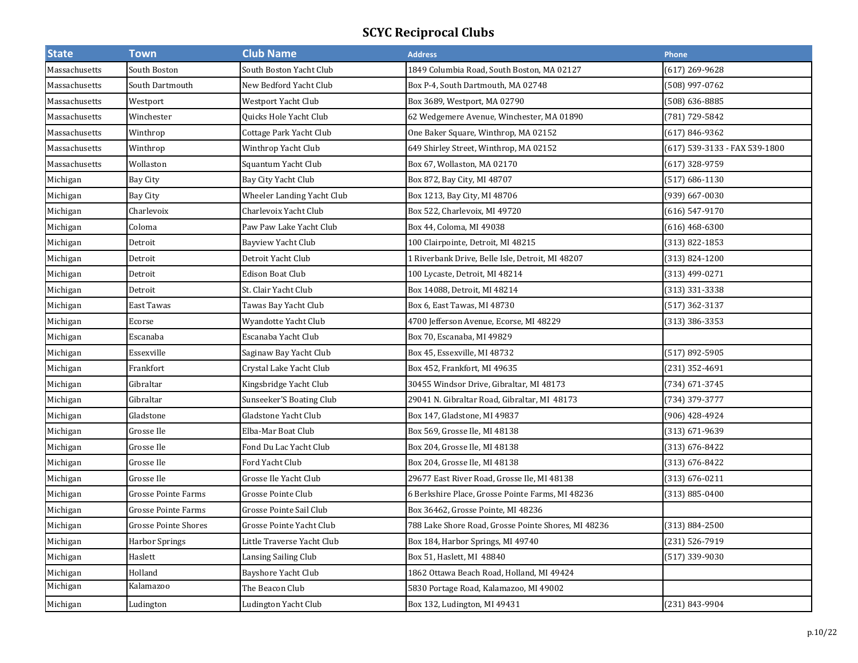| <b>State</b>  | <b>Town</b>                 | <b>Club Name</b>           | <b>Address</b>                                      | Phone                         |
|---------------|-----------------------------|----------------------------|-----------------------------------------------------|-------------------------------|
| Massachusetts | South Boston                | South Boston Yacht Club    | 1849 Columbia Road, South Boston, MA 02127          | (617) 269-9628                |
| Massachusetts | South Dartmouth             | New Bedford Yacht Club     | Box P-4, South Dartmouth, MA 02748                  | (508) 997-0762                |
| Massachusetts | Westport                    | Westport Yacht Club        | Box 3689, Westport, MA 02790                        | (508) 636-8885                |
| Massachusetts | Winchester                  | Quicks Hole Yacht Club     | 62 Wedgemere Avenue, Winchester, MA 01890           | (781) 729-5842                |
| Massachusetts | Winthrop                    | Cottage Park Yacht Club    | One Baker Square, Winthrop, MA 02152                | (617) 846-9362                |
| Massachusetts | Winthrop                    | Winthrop Yacht Club        | 649 Shirley Street, Winthrop, MA 02152              | (617) 539-3133 - FAX 539-1800 |
| Massachusetts | Wollaston                   | Squantum Yacht Club        | Box 67, Wollaston, MA 02170                         | (617) 328-9759                |
| Michigan      | Bay City                    | Bay City Yacht Club        | Box 872, Bay City, MI 48707                         | (517) 686-1130                |
| Michigan      | Bay City                    | Wheeler Landing Yacht Club | Box 1213, Bay City, MI 48706                        | (939) 667-0030                |
| Michigan      | Charlevoix                  | Charlevoix Yacht Club      | Box 522, Charlevoix, MI 49720                       | (616) 547-9170                |
| Michigan      | Coloma                      | Paw Paw Lake Yacht Club    | Box 44, Coloma, MI 49038                            | (616) 468-6300                |
| Michigan      | Detroit                     | Bayview Yacht Club         | 100 Clairpointe, Detroit, MI 48215                  | (313) 822-1853                |
| Michigan      | Detroit                     | Detroit Yacht Club         | 1 Riverbank Drive, Belle Isle, Detroit, MI 48207    | (313) 824-1200                |
| Michigan      | Detroit                     | <b>Edison Boat Club</b>    | 100 Lycaste, Detroit, MI 48214                      | (313) 499-0271                |
| Michigan      | Detroit                     | St. Clair Yacht Club       | Box 14088, Detroit, MI 48214                        | (313) 331-3338                |
| Michigan      | East Tawas                  | Tawas Bay Yacht Club       | Box 6, East Tawas, MI 48730                         | (517) 362-3137                |
| Michigan      | Ecorse                      | Wyandotte Yacht Club       | 4700 Jefferson Avenue, Ecorse, MI 48229             | (313) 386-3353                |
| Michigan      | Escanaba                    | Escanaba Yacht Club        | Box 70, Escanaba, MI 49829                          |                               |
| Michigan      | Essexville                  | Saginaw Bay Yacht Club     | Box 45, Essexville, MI 48732                        | (517) 892-5905                |
| Michigan      | Frankfort                   | Crystal Lake Yacht Club    | Box 452, Frankfort, MI 49635                        | (231) 352-4691                |
| Michigan      | Gibraltar                   | Kingsbridge Yacht Club     | 30455 Windsor Drive, Gibraltar, MI 48173            | (734) 671-3745                |
| Michigan      | Gibraltar                   | Sunseeker'S Boating Club   | 29041 N. Gibraltar Road, Gibraltar, MI 48173        | (734) 379-3777                |
| Michigan      | Gladstone                   | Gladstone Yacht Club       | Box 147, Gladstone, MI 49837                        | $(906)$ 428-4924              |
| Michigan      | Grosse Ile                  | Elba-Mar Boat Club         | Box 569, Grosse Ile, MI 48138                       | (313) 671-9639                |
| Michigan      | Grosse Ile                  | Fond Du Lac Yacht Club     | Box 204, Grosse Ile, MI 48138                       | $(313) 676 - 8422$            |
| Michigan      | Grosse Ile                  | Ford Yacht Club            | Box 204, Grosse Ile, MI 48138                       | (313) 676-8422                |
| Michigan      | Grosse Ile                  | Grosse Ile Yacht Club      | 29677 East River Road, Grosse Ile, MI 48138         | (313) 676-0211                |
| Michigan      | <b>Grosse Pointe Farms</b>  | Grosse Pointe Club         | 6 Berkshire Place, Grosse Pointe Farms, MI 48236    | (313) 885-0400                |
| Michigan      | <b>Grosse Pointe Farms</b>  | Grosse Pointe Sail Club    | Box 36462, Grosse Pointe, MI 48236                  |                               |
| Michigan      | <b>Grosse Pointe Shores</b> | Grosse Pointe Yacht Club   | 788 Lake Shore Road, Grosse Pointe Shores, MI 48236 | (313) 884-2500                |
| Michigan      | <b>Harbor Springs</b>       | Little Traverse Yacht Club | Box 184, Harbor Springs, MI 49740                   | (231) 526-7919                |
| Michigan      | Haslett                     | Lansing Sailing Club       | Box 51, Haslett, MI 48840                           | (517) 339-9030                |
| Michigan      | Holland                     | Bayshore Yacht Club        | 1862 Ottawa Beach Road, Holland, MI 49424           |                               |
| Michigan      | Kalamazoo                   | The Beacon Club            | 5830 Portage Road, Kalamazoo, MI 49002              |                               |
| Michigan      | Ludington                   | Ludington Yacht Club       | Box 132, Ludington, MI 49431                        | (231) 843-9904                |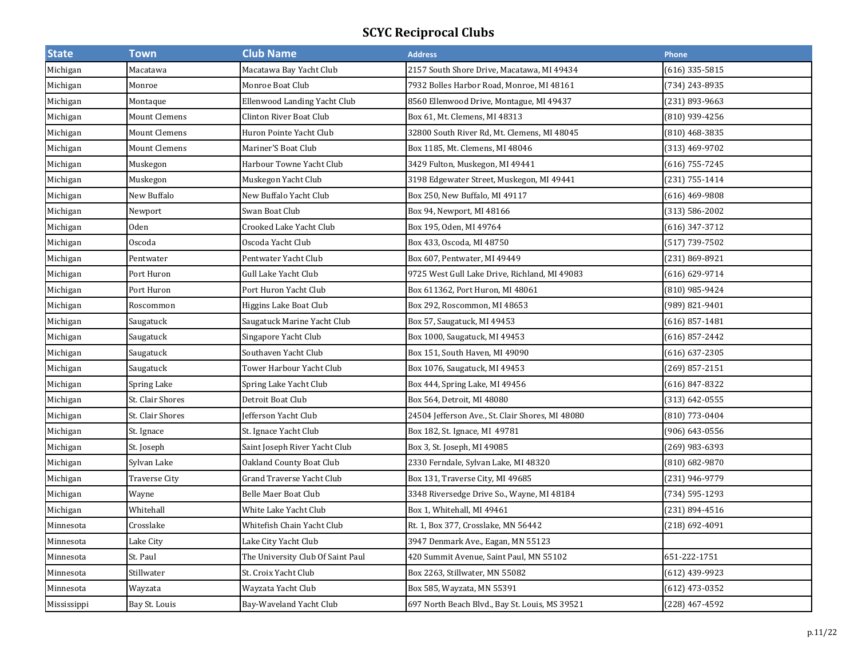| <b>State</b> | <b>Town</b>          | <b>Club Name</b>                  | <b>Address</b>                                   | <b>Phone</b>       |
|--------------|----------------------|-----------------------------------|--------------------------------------------------|--------------------|
| Michigan     | Macatawa             | Macatawa Bay Yacht Club           | 2157 South Shore Drive, Macatawa, MI 49434       | $(616)$ 335-5815   |
| Michigan     | Monroe               | Monroe Boat Club                  | 7932 Bolles Harbor Road, Monroe, MI 48161        | (734) 243-8935     |
| Michigan     | Montaque             | Ellenwood Landing Yacht Club      | 8560 Ellenwood Drive, Montague, MI 49437         | $(231) 893 - 9663$ |
| Michigan     | <b>Mount Clemens</b> | Clinton River Boat Club           | Box 61, Mt. Clemens, MI 48313                    | (810) 939-4256     |
| Michigan     | <b>Mount Clemens</b> | Huron Pointe Yacht Club           | 32800 South River Rd, Mt. Clemens, MI 48045      | $(810)$ 468-3835   |
| Michigan     | <b>Mount Clemens</b> | Mariner'S Boat Club               | Box 1185, Mt. Clemens, MI 48046                  | (313) 469-9702     |
| Michigan     | Muskegon             | Harbour Towne Yacht Club          | 3429 Fulton, Muskegon, MI 49441                  | $(616)$ 755-7245   |
| Michigan     | Muskegon             | Muskegon Yacht Club               | 3198 Edgewater Street, Muskegon, MI 49441        | (231) 755-1414     |
| Michigan     | New Buffalo          | New Buffalo Yacht Club            | Box 250, New Buffalo, MI 49117                   | $(616)$ 469-9808   |
| Michigan     | Newport              | Swan Boat Club                    | Box 94, Newport, MI 48166                        | (313) 586-2002     |
| Michigan     | Oden                 | Crooked Lake Yacht Club           | Box 195, Oden, MI 49764                          | $(616)$ 347-3712   |
| Michigan     | Oscoda               | Oscoda Yacht Club                 | Box 433, Oscoda, MI 48750                        | $(517) 739 - 7502$ |
| Michigan     | Pentwater            | Pentwater Yacht Club              | Box 607, Pentwater, MI 49449                     | (231) 869-8921     |
| Michigan     | Port Huron           | Gull Lake Yacht Club              | 9725 West Gull Lake Drive, Richland, MI 49083    | (616) 629-9714     |
| Michigan     | Port Huron           | Port Huron Yacht Club             | Box 611362, Port Huron, MI 48061                 | (810) 985-9424     |
| Michigan     | Roscommon            | Higgins Lake Boat Club            | Box 292, Roscommon, MI 48653                     | (989) 821-9401     |
| Michigan     | Saugatuck            | Saugatuck Marine Yacht Club       | Box 57, Saugatuck, MI 49453                      | $(616)$ 857-1481   |
| Michigan     | Saugatuck            | Singapore Yacht Club              | Box 1000, Saugatuck, MI 49453                    | $(616)$ 857-2442   |
| Michigan     | Saugatuck            | Southaven Yacht Club              | Box 151, South Haven, MI 49090                   | $(616)$ 637-2305   |
| Michigan     | Saugatuck            | Tower Harbour Yacht Club          | Box 1076, Saugatuck, MI 49453                    | $(269)$ 857-2151   |
| Michigan     | Spring Lake          | Spring Lake Yacht Club            | Box 444, Spring Lake, MI 49456                   | (616) 847-8322     |
| Michigan     | St. Clair Shores     | Detroit Boat Club                 | Box 564, Detroit, MI 48080                       | $(313) 642 - 0555$ |
| Michigan     | St. Clair Shores     | Jefferson Yacht Club              | 24504 Jefferson Ave., St. Clair Shores, MI 48080 | (810) 773-0404     |
| Michigan     | St. Ignace           | St. Ignace Yacht Club             | Box 182, St. Ignace, MI 49781                    | (906) 643-0556     |
| Michigan     | St. Joseph           | Saint Joseph River Yacht Club     | Box 3, St. Joseph, MI 49085                      | $(269)$ 983-6393   |
| Michigan     | Sylvan Lake          | Oakland County Boat Club          | 2330 Ferndale, Sylvan Lake, MI 48320             | (810) 682-9870     |
| Michigan     | <b>Traverse City</b> | Grand Traverse Yacht Club         | Box 131, Traverse City, MI 49685                 | (231) 946-9779     |
| Michigan     | Wayne                | <b>Belle Maer Boat Club</b>       | 3348 Riversedge Drive So., Wayne, MI 48184       | (734) 595-1293     |
| Michigan     | Whitehall            | White Lake Yacht Club             | Box 1, Whitehall, MI 49461                       | (231) 894-4516     |
| Minnesota    | Crosslake            | Whitefish Chain Yacht Club        | Rt. 1, Box 377, Crosslake, MN 56442              | $(218) 692 - 4091$ |
| Minnesota    | Lake City            | Lake City Yacht Club              | 3947 Denmark Ave., Eagan, MN 55123               |                    |
| Minnesota    | St. Paul             | The University Club Of Saint Paul | 420 Summit Avenue, Saint Paul, MN 55102          | 651-222-1751       |
| Minnesota    | Stillwater           | St. Croix Yacht Club              | Box 2263, Stillwater, MN 55082                   | (612) 439-9923     |
| Minnesota    | Wayzata              | Wayzata Yacht Club                | Box 585, Wayzata, MN 55391                       | $(612)$ 473-0352   |
| Mississippi  | Bay St. Louis        | Bay-Waveland Yacht Club           | 697 North Beach Blvd., Bay St. Louis, MS 39521   | (228) 467-4592     |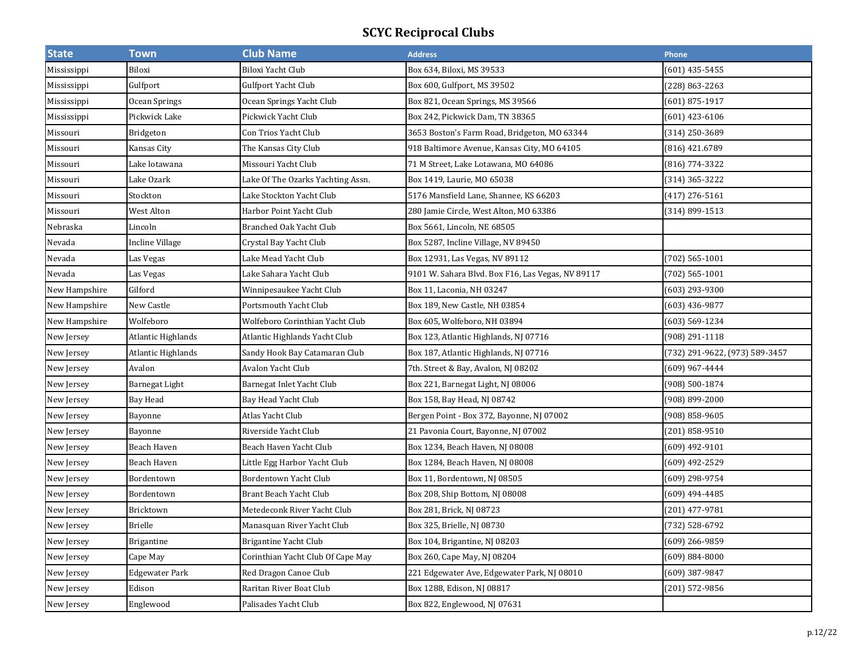| <b>State</b>  | <b>Town</b>           | <b>Club Name</b>                  | <b>Address</b>                                    | Phone                          |
|---------------|-----------------------|-----------------------------------|---------------------------------------------------|--------------------------------|
| Mississippi   | Biloxi                | Biloxi Yacht Club                 | Box 634, Biloxi, MS 39533                         | (601) 435-5455                 |
| Mississippi   | Gulfport              | Gulfport Yacht Club               | Box 600, Gulfport, MS 39502                       | (228) 863-2263                 |
| Mississippi   | Ocean Springs         | Ocean Springs Yacht Club          | Box 821, Ocean Springs, MS 39566                  | $(601) 875 - 1917$             |
| Mississippi   | Pickwick Lake         | Pickwick Yacht Club               | Box 242, Pickwick Dam, TN 38365                   | (601) 423-6106                 |
| Missouri      | <b>Bridgeton</b>      | Con Trios Yacht Club              | 3653 Boston's Farm Road, Bridgeton, MO 63344      | (314) 250-3689                 |
| Missouri      | Kansas City           | The Kansas City Club              | 918 Baltimore Avenue, Kansas City, MO 64105       | (816) 421.6789                 |
| Missouri      | Lake lotawana         | Missouri Yacht Club               | 71 M Street, Lake Lotawana, MO 64086              | (816) 774-3322                 |
| Missouri      | Lake Ozark            | Lake Of The Ozarks Yachting Assn. | Box 1419, Laurie, MO 65038                        | (314) 365-3222                 |
| Missouri      | Stockton              | Lake Stockton Yacht Club          | 5176 Mansfield Lane, Shannee, KS 66203            | $(417)$ 276-5161               |
| Missouri      | West Alton            | Harbor Point Yacht Club           | 280 Jamie Circle, West Alton, MO 63386            | $(314)$ 899-1513               |
| Nebraska      | Lincoln               | Branched Oak Yacht Club           | Box 5661, Lincoln, NE 68505                       |                                |
| Nevada        | Incline Village       | Crystal Bay Yacht Club            | Box 5287, Incline Village, NV 89450               |                                |
| Nevada        | Las Vegas             | Lake Mead Yacht Club              | Box 12931, Las Vegas, NV 89112                    | $(702) 565 - 1001$             |
| Nevada        | Las Vegas             | Lake Sahara Yacht Club            | 9101 W. Sahara Blvd. Box F16, Las Vegas, NV 89117 | $(702) 565 - 1001$             |
| New Hampshire | Gilford               | Winnipesaukee Yacht Club          | Box 11, Laconia, NH 03247                         | (603) 293-9300                 |
| New Hampshire | New Castle            | Portsmouth Yacht Club             | Box 189, New Castle, NH 03854                     | (603) 436-9877                 |
| New Hampshire | Wolfeboro             | Wolfeboro Corinthian Yacht Club   | Box 605, Wolfeboro, NH 03894                      | (603) 569-1234                 |
| New Jersey    | Atlantic Highlands    | Atlantic Highlands Yacht Club     | Box 123, Atlantic Highlands, NJ 07716             | (908) 291-1118                 |
| New Jersey    | Atlantic Highlands    | Sandy Hook Bay Catamaran Club     | Box 187, Atlantic Highlands, NJ 07716             | (732) 291-9622, (973) 589-3457 |
| New Jersey    | Avalon                | Avalon Yacht Club                 | 7th. Street & Bay, Avalon, NJ 08202               | (609) 967-4444                 |
| New Jersey    | Barnegat Light        | Barnegat Inlet Yacht Club         | Box 221, Barnegat Light, NJ 08006                 | (908) 500-1874                 |
| New Jersey    | Bay Head              | Bay Head Yacht Club               | Box 158, Bay Head, NJ 08742                       | (908) 899-2000                 |
| New Jersey    | Bayonne               | Atlas Yacht Club                  | Bergen Point - Box 372, Bayonne, NJ 07002         | (908) 858-9605                 |
| New Jersey    | Bayonne               | Riverside Yacht Club              | 21 Pavonia Court, Bayonne, NJ 07002               | (201) 858-9510                 |
| New Jersey    | Beach Haven           | Beach Haven Yacht Club            | Box 1234, Beach Haven, NJ 08008                   | (609) 492-9101                 |
| New Jersey    | Beach Haven           | Little Egg Harbor Yacht Club      | Box 1284, Beach Haven, NJ 08008                   | (609) 492-2529                 |
| New Jersey    | Bordentown            | Bordentown Yacht Club             | Box 11, Bordentown, NJ 08505                      | (609) 298-9754                 |
| New Jersey    | Bordentown            | Brant Beach Yacht Club            | Box 208, Ship Bottom, NJ 08008                    | (609) 494-4485                 |
| New Jersey    | Bricktown             | Metedeconk River Yacht Club       | Box 281, Brick, NJ 08723                          | (201) 477-9781                 |
| New Jersey    | <b>Brielle</b>        | Manasquan River Yacht Club        | Box 325, Brielle, NJ 08730                        | (732) 528-6792                 |
| New Jersey    | <b>Brigantine</b>     | Brigantine Yacht Club             | Box 104, Brigantine, NJ 08203                     | (609) 266-9859                 |
| New Jersey    | Cape May              | Corinthian Yacht Club Of Cape May | Box 260, Cape May, NJ 08204                       | $(609) 884 - 8000$             |
| New Jersey    | <b>Edgewater Park</b> | Red Dragon Canoe Club             | 221 Edgewater Ave, Edgewater Park, NJ 08010       | (609) 387-9847                 |
| New Jersey    | Edison                | Raritan River Boat Club           | Box 1288, Edison, NJ 08817                        | (201) 572-9856                 |
| New Jersey    | Englewood             | Palisades Yacht Club              | Box 822, Englewood, NJ 07631                      |                                |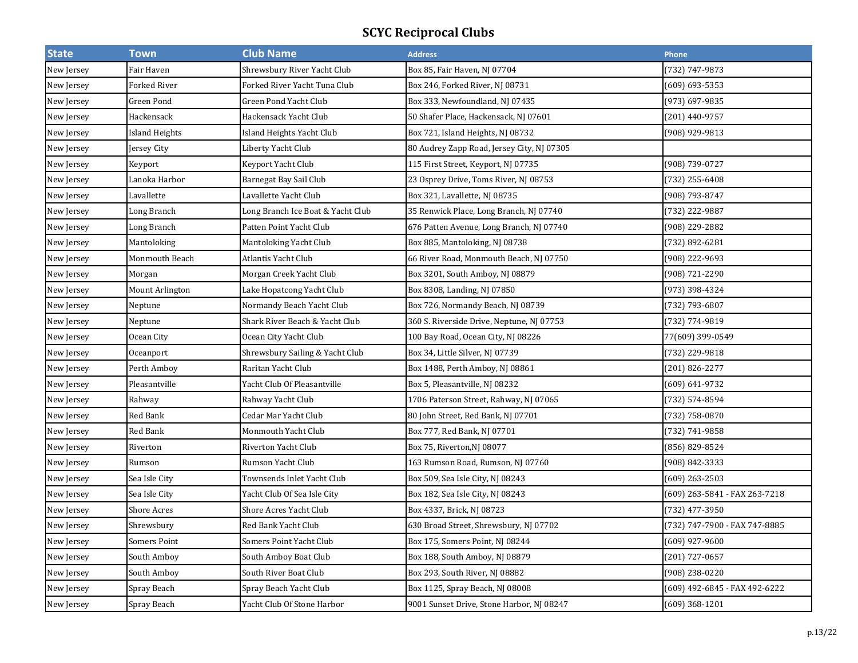| <b>State</b> | <b>Town</b>           | <b>Club Name</b>                  | <b>Address</b>                             | Phone                         |
|--------------|-----------------------|-----------------------------------|--------------------------------------------|-------------------------------|
| New Jersey   | Fair Haven            | Shrewsbury River Yacht Club       | Box 85, Fair Haven, NJ 07704               | 732) 747-9873                 |
| New Jersey   | Forked River          | Forked River Yacht Tuna Club      | Box 246, Forked River, NJ 08731            | (609) 693-5353                |
| New Jersey   | Green Pond            | Green Pond Yacht Club             | Box 333, Newfoundland, NJ 07435            | (973) 697-9835                |
| New Jersey   | Hackensack            | Hackensack Yacht Club             | 50 Shafer Place, Hackensack, NJ 07601      | (201) 440-9757                |
| New Jersey   | <b>Island Heights</b> | Island Heights Yacht Club         | Box 721, Island Heights, NJ 08732          | (908) 929-9813                |
| New Jersey   | Jersey City           | Liberty Yacht Club                | 80 Audrey Zapp Road, Jersey City, NJ 07305 |                               |
| New Jersey   | Keyport               | Keyport Yacht Club                | 115 First Street, Keyport, NJ 07735        | (908) 739-0727                |
| New Jersey   | Lanoka Harbor         | Barnegat Bay Sail Club            | 23 Osprey Drive, Toms River, NJ 08753      | (732) 255-6408                |
| New Jersey   | Lavallette            | Lavallette Yacht Club             | Box 321, Lavallette, NJ 08735              | (908) 793-8747                |
| New Jersey   | Long Branch           | Long Branch Ice Boat & Yacht Club | 35 Renwick Place, Long Branch, NJ 07740    | (732) 222-9887                |
| New Jersey   | Long Branch           | Patten Point Yacht Club           | 676 Patten Avenue, Long Branch, NJ 07740   | (908) 229-2882                |
| New Jersey   | Mantoloking           | Mantoloking Yacht Club            | Box 885, Mantoloking, NJ 08738             | (732) 892-6281                |
| New Jersey   | Monmouth Beach        | Atlantis Yacht Club               | 66 River Road, Monmouth Beach, NJ 07750    | (908) 222-9693                |
| New Jersey   | Morgan                | Morgan Creek Yacht Club           | Box 3201, South Amboy, NJ 08879            | (908) 721-2290                |
| New Jersey   | Mount Arlington       | Lake Hopatcong Yacht Club         | Box 8308, Landing, NJ 07850                | (973) 398-4324                |
| New Jersey   | Neptune               | Normandy Beach Yacht Club         | Box 726, Normandy Beach, NJ 08739          | (732) 793-6807                |
| New Jersey   | Neptune               | Shark River Beach & Yacht Club    | 360 S. Riverside Drive, Neptune, NJ 07753  | (732) 774-9819                |
| New Jersey   | Ocean City            | Ocean City Yacht Club             | 100 Bay Road, Ocean City, NJ 08226         | 77(609) 399-0549              |
| New Jersey   | Oceanport             | Shrewsbury Sailing & Yacht Club   | Box 34, Little Silver, NJ 07739            | (732) 229-9818                |
| New Jersey   | Perth Amboy           | Raritan Yacht Club                | Box 1488, Perth Amboy, NJ 08861            | (201) 826-2277                |
| New Jersey   | Pleasantville         | Yacht Club Of Pleasantville       | Box 5, Pleasantville, NJ 08232             | (609) 641-9732                |
| New Jersey   | Rahway                | Rahway Yacht Club                 | 1706 Paterson Street, Rahway, NJ 07065     | (732) 574-8594                |
| New Jersey   | Red Bank              | Cedar Mar Yacht Club              | 80 John Street, Red Bank, NJ 07701         | (732) 758-0870                |
| New Jersey   | Red Bank              | Monmouth Yacht Club               | Box 777, Red Bank, NJ 07701                | (732) 741-9858                |
| New Jersey   | Riverton              | Riverton Yacht Club               | Box 75, Riverton, NJ 08077                 | (856) 829-8524                |
| New Jersey   | Rumson                | Rumson Yacht Club                 | 163 Rumson Road, Rumson, NJ 07760          | (908) 842-3333                |
| New Jersey   | Sea Isle City         | Townsends Inlet Yacht Club        | Box 509, Sea Isle City, NJ 08243           | (609) 263-2503                |
| New Jersey   | Sea Isle City         | Yacht Club Of Sea Isle City       | Box 182, Sea Isle City, NJ 08243           | (609) 263-5841 - FAX 263-7218 |
| New Jersey   | Shore Acres           | Shore Acres Yacht Club            | Box 4337, Brick, NJ 08723                  | (732) 477-3950                |
| New Jersey   | Shrewsbury            | Red Bank Yacht Club               | 630 Broad Street, Shrewsbury, NJ 07702     | (732) 747-7900 - FAX 747-8885 |
| New Jersey   | <b>Somers Point</b>   | Somers Point Yacht Club           | Box 175, Somers Point, NJ 08244            | (609) 927-9600                |
| New Jersey   | South Amboy           | South Amboy Boat Club             | Box 188, South Amboy, NJ 08879             | (201) 727-0657                |
| New Jersey   | South Amboy           | South River Boat Club             | Box 293, South River, NJ 08882             | (908) 238-0220                |
| New Jersey   | Spray Beach           | Spray Beach Yacht Club            | Box 1125, Spray Beach, NJ 08008            | (609) 492-6845 - FAX 492-6222 |
| New Jersey   | Spray Beach           | Yacht Club Of Stone Harbor        | 9001 Sunset Drive, Stone Harbor, NJ 08247  | (609) 368-1201                |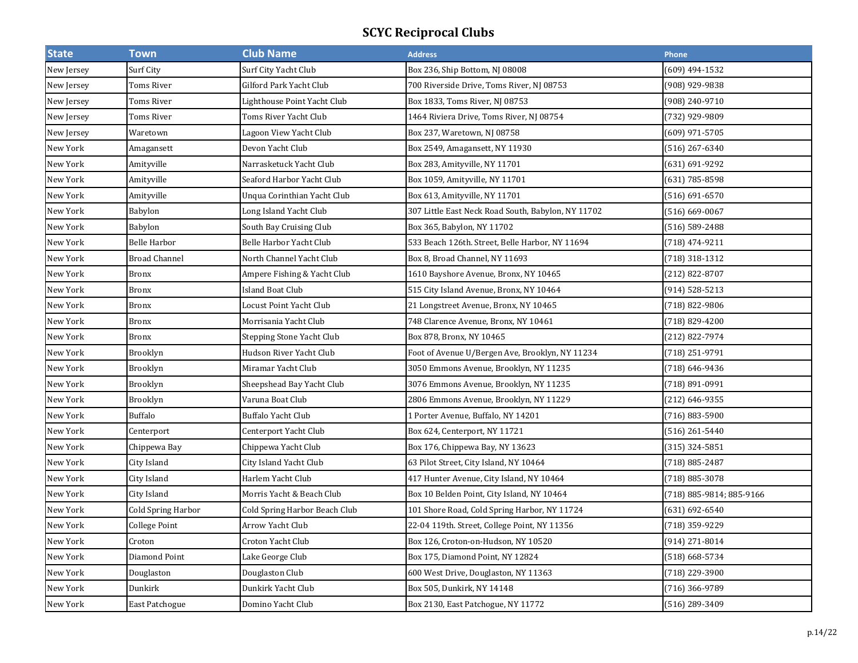| <b>State</b> | <b>Town</b>            | <b>Club Name</b>              | <b>Address</b>                                     | Phone                    |
|--------------|------------------------|-------------------------------|----------------------------------------------------|--------------------------|
| New Jersey   | Surf City              | Surf City Yacht Club          | Box 236, Ship Bottom, NJ 08008                     | (609) 494-1532           |
| New Jersey   | Toms River             | Gilford Park Yacht Club       | 700 Riverside Drive, Toms River, NJ 08753          | (908) 929-9838           |
| New Jersey   | Toms River             | Lighthouse Point Yacht Club   | Box 1833, Toms River, NJ 08753                     | (908) 240-9710           |
| New Jersey   | Toms River             | Toms River Yacht Club         | 1464 Riviera Drive, Toms River, NJ 08754           | (732) 929-9809           |
| New Jersey   | Waretown               | Lagoon View Yacht Club        | Box 237, Waretown, NJ 08758                        | (609) 971-5705           |
| New York     | Amagansett             | Devon Yacht Club              | Box 2549, Amagansett, NY 11930                     | $(516)$ 267-6340         |
| New York     | Amityville             | Narrasketuck Yacht Club       | Box 283, Amityville, NY 11701                      | (631) 691-9292           |
| New York     | Amityville             | Seaford Harbor Yacht Club     | Box 1059, Amityville, NY 11701                     | (631) 785-8598           |
| New York     | Amityville             | Unqua Corinthian Yacht Club   | Box 613, Amityville, NY 11701                      | (516) 691-6570           |
| New York     | Babylon                | Long Island Yacht Club        | 307 Little East Neck Road South, Babylon, NY 11702 | $(516) 669 - 0067$       |
| New York     | Babylon                | South Bay Cruising Club       | Box 365, Babylon, NY 11702                         | (516) 589-2488           |
| New York     | <b>Belle Harbor</b>    | Belle Harbor Yacht Club       | 533 Beach 126th. Street, Belle Harbor, NY 11694    | (718) 474-9211           |
| New York     | <b>Broad Channel</b>   | North Channel Yacht Club      | Box 8, Broad Channel, NY 11693                     | (718) 318-1312           |
| New York     | <b>Bronx</b>           | Ampere Fishing & Yacht Club   | 1610 Bayshore Avenue, Bronx, NY 10465              | (212) 822-8707           |
| New York     | <b>Bronx</b>           | Island Boat Club              | 515 City Island Avenue, Bronx, NY 10464            | (914) 528-5213           |
| New York     | <b>Bronx</b>           | Locust Point Yacht Club       | 21 Longstreet Avenue, Bronx, NY 10465              | (718) 822-9806           |
| New York     | $\operatorname{Bronx}$ | Morrisania Yacht Club         | 748 Clarence Avenue, Bronx, NY 10461               | (718) 829-4200           |
| New York     | <b>Bronx</b>           | Stepping Stone Yacht Club     | Box 878, Bronx, NY 10465                           | (212) 822-7974           |
| New York     | Brooklyn               | Hudson River Yacht Club       | Foot of Avenue U/Bergen Ave, Brooklyn, NY 11234    | (718) 251-9791           |
| New York     | Brooklyn               | Miramar Yacht Club            | 3050 Emmons Avenue, Brooklyn, NY 11235             | (718) 646-9436           |
| New York     | Brooklyn               | Sheepshead Bay Yacht Club     | 3076 Emmons Avenue, Brooklyn, NY 11235             | (718) 891-0991           |
| New York     | Brooklyn               | Varuna Boat Club              | 2806 Emmons Avenue, Brooklyn, NY 11229             | (212) 646-9355           |
| New York     | <b>Buffalo</b>         | Buffalo Yacht Club            | 1 Porter Avenue, Buffalo, NY 14201                 | (716) 883-5900           |
| New York     | Centerport             | Centerport Yacht Club         | Box 624, Centerport, NY 11721                      | $(516)$ 261-5440         |
| New York     | Chippewa Bay           | Chippewa Yacht Club           | Box 176, Chippewa Bay, NY 13623                    | $(315)$ 324-5851         |
| New York     | City Island            | City Island Yacht Club        | 63 Pilot Street, City Island, NY 10464             | (718) 885-2487           |
| New York     | City Island            | Harlem Yacht Club             | 417 Hunter Avenue, City Island, NY 10464           | (718) 885-3078           |
| New York     | City Island            | Morris Yacht & Beach Club     | Box 10 Belden Point, City Island, NY 10464         | (718) 885-9814; 885-9166 |
| New York     | Cold Spring Harbor     | Cold Spring Harbor Beach Club | 101 Shore Road, Cold Spring Harbor, NY 11724       | (631) 692-6540           |
| New York     | <b>College Point</b>   | Arrow Yacht Club              | 22-04 119th. Street, College Point, NY 11356       | (718) 359-9229           |
| New York     | Croton                 | Croton Yacht Club             | Box 126, Croton-on-Hudson, NY 10520                | (914) 271-8014           |
| New York     | Diamond Point          | Lake George Club              | Box 175, Diamond Point, NY 12824                   | (518) 668-5734           |
| New York     | Douglaston             | Douglaston Club               | 600 West Drive, Douglaston, NY 11363               | (718) 229-3900           |
| New York     | Dunkirk                | Dunkirk Yacht Club            | Box 505, Dunkirk, NY 14148                         | (716) 366-9789           |
| New York     | <b>East Patchogue</b>  | Domino Yacht Club             | Box 2130, East Patchogue, NY 11772                 | (516) 289-3409           |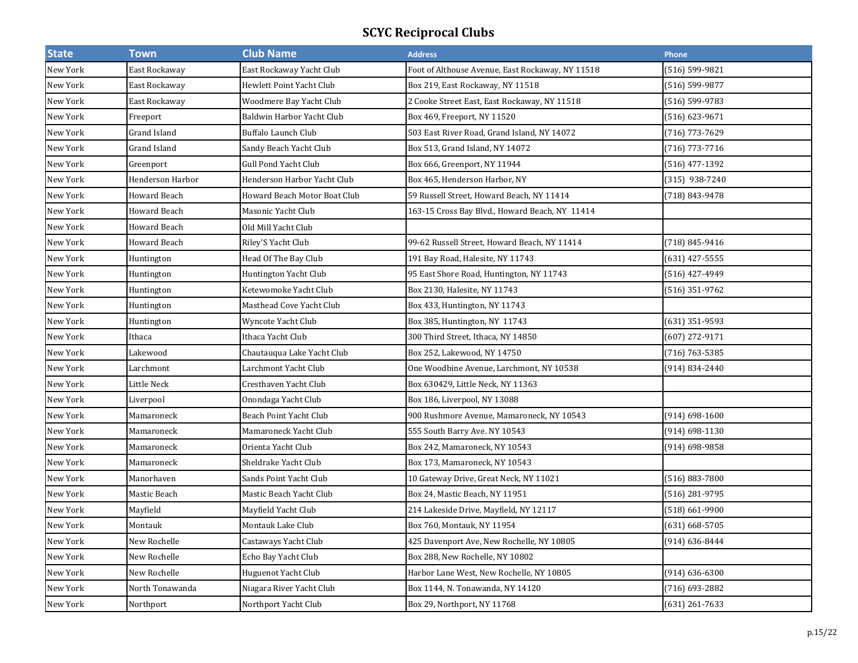| <b>State</b> | <b>Town</b>         | <b>Club Name</b>             | <b>Address</b>                                   | Phone              |
|--------------|---------------------|------------------------------|--------------------------------------------------|--------------------|
| New York     | East Rockaway       | East Rockaway Yacht Club     | Foot of Althouse Avenue, East Rockaway, NY 11518 | (516) 599-9821     |
| New York     | East Rockaway       | Hewlett Point Yacht Club     | Box 219, East Rockaway, NY 11518                 | (516) 599-9877     |
| New York     | East Rockaway       | Woodmere Bay Yacht Club      | 2 Cooke Street East, East Rockaway, NY 11518     | $(516) 599-9783$   |
| New York     | Freeport            | Baldwin Harbor Yacht Club    | Box 469, Freeport, NY 11520                      | $(516) 623 - 9671$ |
| New York     | Grand Island        | <b>Buffalo Launch Club</b>   | 503 East River Road, Grand Island, NY 14072      | (716) 773-7629     |
| New York     | Grand Island        | Sandy Beach Yacht Club       | Box 513, Grand Island, NY 14072                  | $(716)$ 773-7716   |
| New York     | Greenport           | <b>Gull Pond Yacht Club</b>  | Box 666, Greenport, NY 11944                     | $(516)$ 477-1392   |
| New York     | Henderson Harbor    | Henderson Harbor Yacht Club  | Box 465, Henderson Harbor, NY                    | $(315)$ 938-7240   |
| New York     | Howard Beach        | Howard Beach Motor Boat Club | 59 Russell Street, Howard Beach, NY 11414        | $(718) 843 - 9478$ |
| New York     | Howard Beach        | Masonic Yacht Club           | 163-15 Cross Bay Blvd., Howard Beach, NY 11414   |                    |
| New York     | <b>Howard Beach</b> | Old Mill Yacht Club          |                                                  |                    |
| New York     | <b>Howard Beach</b> | Riley'S Yacht Club           | 99-62 Russell Street, Howard Beach, NY 11414     | (718) 845-9416     |
| New York     | Huntington          | Head Of The Bay Club         | 191 Bay Road, Halesite, NY 11743                 | (631) 427-5555     |
| New York     | Huntington          | Huntington Yacht Club        | 95 East Shore Road, Huntington, NY 11743         | (516) 427-4949     |
| New York     | Huntington          | Ketewomoke Yacht Club        | Box 2130, Halesite, NY 11743                     | $(516)$ 351-9762   |
| New York     | Huntington          | Masthead Cove Yacht Club     | Box 433, Huntington, NY 11743                    |                    |
| New York     | Huntington          | Wyncote Yacht Club           | Box 385, Huntington, NY 11743                    | $(631)$ 351-9593   |
| New York     | Ithaca              | Ithaca Yacht Club            | 300 Third Street, Ithaca, NY 14850               | $(607)$ 272-9171   |
| New York     | Lakewood            | Chautauqua Lake Yacht Club   | Box 252, Lakewood, NY 14750                      | (716) 763-5385     |
| New York     | Larchmont           | Larchmont Yacht Club         | One Woodbine Avenue, Larchmont, NY 10538         | $(914) 834 - 2440$ |
| New York     | Little Neck         | Cresthaven Yacht Club        | Box 630429, Little Neck, NY 11363                |                    |
| New York     | Liverpool           | Onondaga Yacht Club          | Box 186, Liverpool, NY 13088                     |                    |
| New York     | Mamaroneck          | Beach Point Yacht Club       | 900 Rushmore Avenue, Mamaroneck, NY 10543        | $(914) 698 - 1600$ |
| New York     | Mamaroneck          | Mamaroneck Yacht Club        | 555 South Barry Ave. NY 10543                    | $(914) 698 - 1130$ |
| New York     | Mamaroneck          | Orienta Yacht Club           | Box 242, Mamaroneck, NY 10543                    | (914) 698-9858     |
| New York     | Mamaroneck          | Sheldrake Yacht Club         | Box 173, Mamaroneck, NY 10543                    |                    |
| New York     | Manorhaven          | Sands Point Yacht Club       | 10 Gateway Drive, Great Neck, NY 11021           | (516) 883-7800     |
| New York     | Mastic Beach        | Mastic Beach Yacht Club      | Box 24, Mastic Beach, NY 11951                   | (516) 281-9795     |
| New York     | Mayfield            | Mayfield Yacht Club          | 214 Lakeside Drive, Mayfield, NY 12117           | (518) 661-9900     |
| New York     | Montauk             | Montauk Lake Club            | Box 760, Montauk, NY 11954                       | $(631) 668 - 5705$ |
| New York     | New Rochelle        | Castaways Yacht Club         | 425 Davenport Ave, New Rochelle, NY 10805        | $(914) 636 - 8444$ |
| New York     | New Rochelle        | Echo Bay Yacht Club          | Box 288, New Rochelle, NY 10802                  |                    |
| New York     | New Rochelle        | Huguenot Yacht Club          | Harbor Lane West, New Rochelle, NY 10805         | $(914) 636 - 6300$ |
| New York     | North Tonawanda     | Niagara River Yacht Club     | Box 1144, N. Tonawanda, NY 14120                 | (716) 693-2882     |
| New York     | Northport           | Northport Yacht Club         | Box 29, Northport, NY 11768                      | (631) 261-7633     |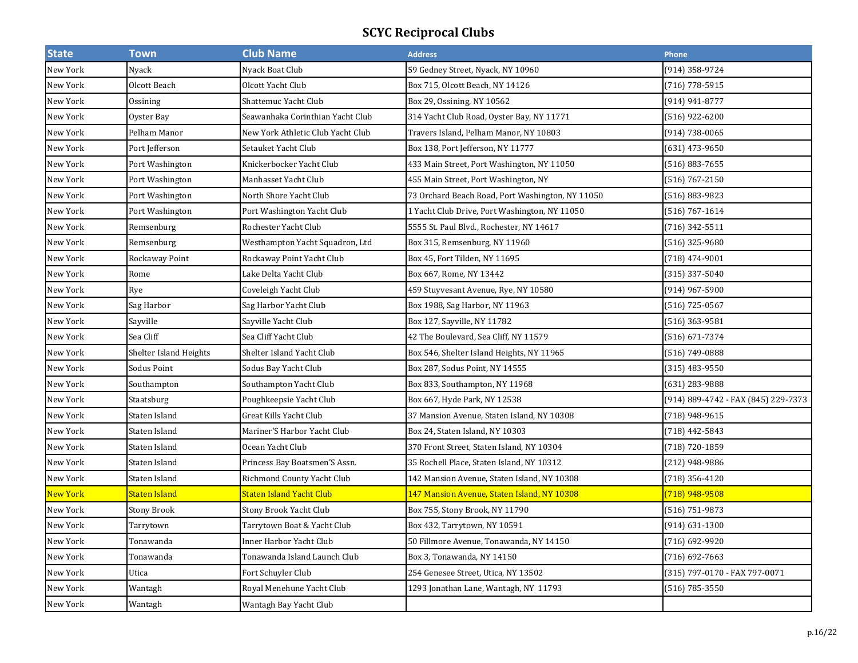| <b>State</b>    | <b>Town</b>            | <b>Club Name</b>                  | <b>Address</b>                                   | Phone                               |
|-----------------|------------------------|-----------------------------------|--------------------------------------------------|-------------------------------------|
| New York        | Nyack                  | Nyack Boat Club                   | 59 Gedney Street, Nyack, NY 10960                | (914) 358-9724                      |
| New York        | Olcott Beach           | Olcott Yacht Club                 | Box 715, Olcott Beach, NY 14126                  | (716) 778-5915                      |
| New York        | Ossining               | Shattemuc Yacht Club              | Box 29, Ossining, NY 10562                       | (914) 941-8777                      |
| New York        | Oyster Bay             | Seawanhaka Corinthian Yacht Club  | 314 Yacht Club Road, Oyster Bay, NY 11771        | (516) 922-6200                      |
| New York        | Pelham Manor           | New York Athletic Club Yacht Club | Travers Island, Pelham Manor, NY 10803           | (914) 738-0065                      |
| New York        | Port Jefferson         | Setauket Yacht Club               | Box 138, Port Jefferson, NY 11777                | (631) 473-9650                      |
| New York        | Port Washington        | Knickerbocker Yacht Club          | 433 Main Street, Port Washington, NY 11050       | $(516) 883 - 7655$                  |
| New York        | Port Washington        | Manhasset Yacht Club              | 455 Main Street, Port Washington, NY             | (516) 767-2150                      |
| New York        | Port Washington        | North Shore Yacht Club            | 73 Orchard Beach Road, Port Washington, NY 11050 | (516) 883-9823                      |
| New York        | Port Washington        | Port Washington Yacht Club        | 1 Yacht Club Drive, Port Washington, NY 11050    | (516) 767-1614                      |
| New York        | Remsenburg             | Rochester Yacht Club              | 5555 St. Paul Blvd., Rochester, NY 14617         | (716) 342-5511                      |
| New York        | Remsenburg             | Westhampton Yacht Squadron, Ltd   | Box 315, Remsenburg, NY 11960                    | (516) 325-9680                      |
| New York        | Rockaway Point         | Rockaway Point Yacht Club         | Box 45, Fort Tilden, NY 11695                    | (718) 474-9001                      |
| New York        | Rome                   | Lake Delta Yacht Club             | Box 667, Rome, NY 13442                          | (315) 337-5040                      |
| New York        | Rye                    | Coveleigh Yacht Club              | 459 Stuyvesant Avenue, Rye, NY 10580             | (914) 967-5900                      |
| New York        | Sag Harbor             | Sag Harbor Yacht Club             | Box 1988, Sag Harbor, NY 11963                   | (516) 725-0567                      |
| New York        | Sayville               | Sayville Yacht Club               | Box 127, Sayville, NY 11782                      | (516) 363-9581                      |
| New York        | Sea Cliff              | Sea Cliff Yacht Club              | 42 The Boulevard, Sea Cliff, NY 11579            | (516) 671-7374                      |
| New York        | Shelter Island Heights | Shelter Island Yacht Club         | Box 546, Shelter Island Heights, NY 11965        | (516) 749-0888                      |
| New York        | Sodus Point            | Sodus Bay Yacht Club              | Box 287, Sodus Point, NY 14555                   | $(315)$ 483-9550                    |
| New York        | Southampton            | Southampton Yacht Club            | Box 833, Southampton, NY 11968                   | (631) 283-9888                      |
| New York        | Staatsburg             | Poughkeepsie Yacht Club           | Box 667, Hyde Park, NY 12538                     | (914) 889-4742 - FAX (845) 229-7373 |
| New York        | Staten Island          | Great Kills Yacht Club            | 37 Mansion Avenue, Staten Island, NY 10308       | (718) 948-9615                      |
| New York        | Staten Island          | Mariner'S Harbor Yacht Club       | Box 24, Staten Island, NY 10303                  | (718) 442-5843                      |
| New York        | Staten Island          | Ocean Yacht Club                  | 370 Front Street, Staten Island, NY 10304        | (718) 720-1859                      |
| New York        | Staten Island          | Princess Bay Boatsmen'S Assn.     | 35 Rochell Place, Staten Island, NY 10312        | (212) 948-9886                      |
| New York        | Staten Island          | Richmond County Yacht Club        | 142 Mansion Avenue, Staten Island, NY 10308      | (718) 356-4120                      |
| <b>New York</b> | Staten Island          | Staten Island Yacht Club          | 147 Mansion Avenue, Staten Island, NY 10308      | [718] 948-9508                      |
| New York        | Stony Brook            | Stony Brook Yacht Club            | Box 755, Stony Brook, NY 11790                   | (516) 751-9873                      |
| New York        | Tarrytown              | Tarrytown Boat & Yacht Club       | Box 432, Tarrytown, NY 10591                     | (914) 631-1300                      |
| New York        | Tonawanda              | Inner Harbor Yacht Club           | 50 Fillmore Avenue, Tonawanda, NY 14150          | (716) 692-9920                      |
| New York        | Tonawanda              | Tonawanda Island Launch Club      | Box 3, Tonawanda, NY 14150                       | $(716) 692 - 7663$                  |
| New York        | Utica                  | Fort Schuyler Club                | 254 Genesee Street, Utica, NY 13502              | (315) 797-0170 - FAX 797-0071       |
| New York        | Wantagh                | Royal Menehune Yacht Club         | 1293 Jonathan Lane, Wantagh, NY 11793            | $(516) 785 - 3550$                  |
| New York        | Wantagh                | Wantagh Bay Yacht Club            |                                                  |                                     |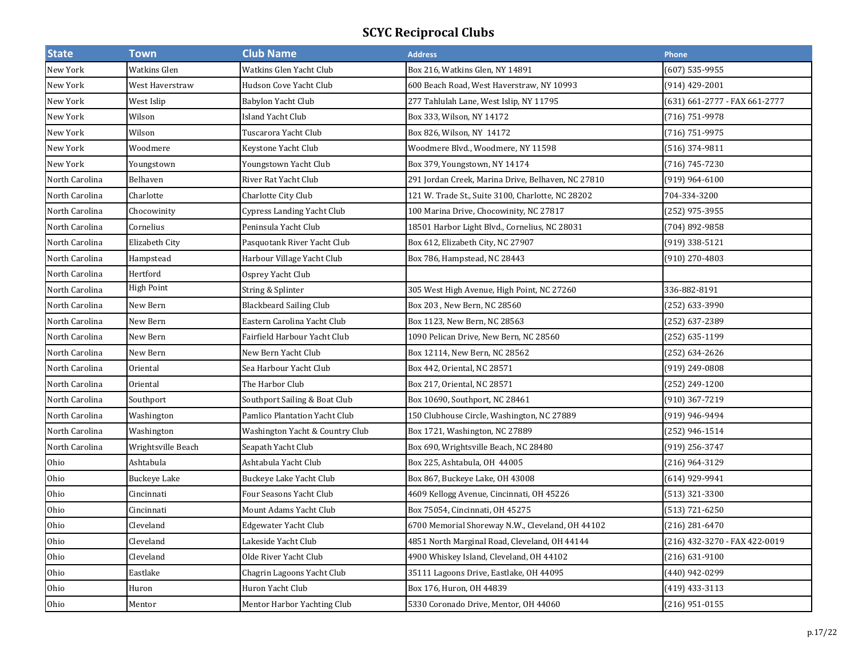| <b>State</b>   | <b>Town</b>        | <b>Club Name</b>                  | <b>Address</b>                                     | Phone                         |
|----------------|--------------------|-----------------------------------|----------------------------------------------------|-------------------------------|
| New York       | Watkins Glen       | Watkins Glen Yacht Club           | Box 216, Watkins Glen, NY 14891                    | (607) 535-9955                |
| New York       | West Haverstraw    | Hudson Cove Yacht Club            | 600 Beach Road, West Haverstraw, NY 10993          | (914) 429-2001                |
| New York       | West Islip         | Babylon Yacht Club                | 277 Tahlulah Lane, West Islip, NY 11795            | (631) 661-2777 - FAX 661-2777 |
| New York       | Wilson             | <b>Island Yacht Club</b>          | Box 333, Wilson, NY 14172                          | (716) 751-9978                |
| New York       | Wilson             | Tuscarora Yacht Club              | Box 826, Wilson, NY 14172                          | (716) 751-9975                |
| New York       | Woodmere           | Keystone Yacht Club               | Woodmere Blvd., Woodmere, NY 11598                 | $(516)$ 374-9811              |
| New York       | Youngstown         | Youngstown Yacht Club             | Box 379, Youngstown, NY 14174                      | (716) 745-7230                |
| North Carolina | Belhaven           | River Rat Yacht Club              | 291 Jordan Creek, Marina Drive, Belhaven, NC 27810 | (919) 964-6100                |
| North Carolina | Charlotte          | Charlotte City Club               | 121 W. Trade St., Suite 3100, Charlotte, NC 28202  | 704-334-3200                  |
| North Carolina | Chocowinity        | <b>Cypress Landing Yacht Club</b> | 100 Marina Drive, Chocowinity, NC 27817            | (252) 975-3955                |
| North Carolina | Cornelius          | Peninsula Yacht Club              | 18501 Harbor Light Blvd., Cornelius, NC 28031      | (704) 892-9858                |
| North Carolina | Elizabeth City     | Pasquotank River Yacht Club       | Box 612, Elizabeth City, NC 27907                  | (919) 338-5121                |
| North Carolina | Hampstead          | Harbour Village Yacht Club        | Box 786, Hampstead, NC 28443                       | (910) 270-4803                |
| North Carolina | Hertford           | Osprey Yacht Club                 |                                                    |                               |
| North Carolina | <b>High Point</b>  | String & Splinter                 | 305 West High Avenue, High Point, NC 27260         | 336-882-8191                  |
| North Carolina | New Bern           | <b>Blackbeard Sailing Club</b>    | Box 203, New Bern, NC 28560                        | (252) 633-3990                |
| North Carolina | New Bern           | Eastern Carolina Yacht Club       | Box 1123, New Bern, NC 28563                       | (252) 637-2389                |
| North Carolina | New Bern           | Fairfield Harbour Yacht Club      | 1090 Pelican Drive, New Bern, NC 28560             | (252) 635-1199                |
| North Carolina | New Bern           | New Bern Yacht Club               | Box 12114, New Bern, NC 28562                      | (252) 634-2626                |
| North Carolina | Oriental           | Sea Harbour Yacht Club            | Box 442, Oriental, NC 28571                        | (919) 249-0808                |
| North Carolina | Oriental           | The Harbor Club                   | Box 217, Oriental, NC 28571                        | (252) 249-1200                |
| North Carolina | Southport          | Southport Sailing & Boat Club     | Box 10690, Southport, NC 28461                     | (910) 367-7219                |
| North Carolina | Washington         | Pamlico Plantation Yacht Club     | 150 Clubhouse Circle, Washington, NC 27889         | (919) 946-9494                |
| North Carolina | Washington         | Washington Yacht & Country Club   | Box 1721, Washington, NC 27889                     | (252) 946-1514                |
| North Carolina | Wrightsville Beach | Seapath Yacht Club                | Box 690, Wrightsville Beach, NC 28480              | (919) 256-3747                |
| Ohio           | Ashtabula          | Ashtabula Yacht Club              | Box 225, Ashtabula, OH 44005                       | (216) 964-3129                |
| Ohio           | Buckeye Lake       | Buckeye Lake Yacht Club           | Box 867, Buckeye Lake, OH 43008                    | (614) 929-9941                |
| Ohio           | Cincinnati         | Four Seasons Yacht Club           | 4609 Kellogg Avenue, Cincinnati, OH 45226          | (513) 321-3300                |
| Ohio           | Cincinnati         | Mount Adams Yacht Club            | Box 75054, Cincinnati, OH 45275                    | (513) 721-6250                |
| Ohio           | Cleveland          | <b>Edgewater Yacht Club</b>       | 6700 Memorial Shoreway N.W., Cleveland, OH 44102   | (216) 281-6470                |
| Ohio           | Cleveland          | Lakeside Yacht Club               | 4851 North Marginal Road, Cleveland, OH 44144      | (216) 432-3270 - FAX 422-0019 |
| Ohio           | Cleveland          | Olde River Yacht Club             | 4900 Whiskey Island, Cleveland, OH 44102           | $(216) 631 - 9100$            |
| Ohio           | Eastlake           | Chagrin Lagoons Yacht Club        | 35111 Lagoons Drive, Eastlake, OH 44095            | (440) 942-0299                |
| Ohio           | Huron              | Huron Yacht Club                  | Box 176, Huron, OH 44839                           | (419) 433-3113                |
| Ohio           | Mentor             | Mentor Harbor Yachting Club       | 5330 Coronado Drive, Mentor, OH 44060              | $(216)$ 951-0155              |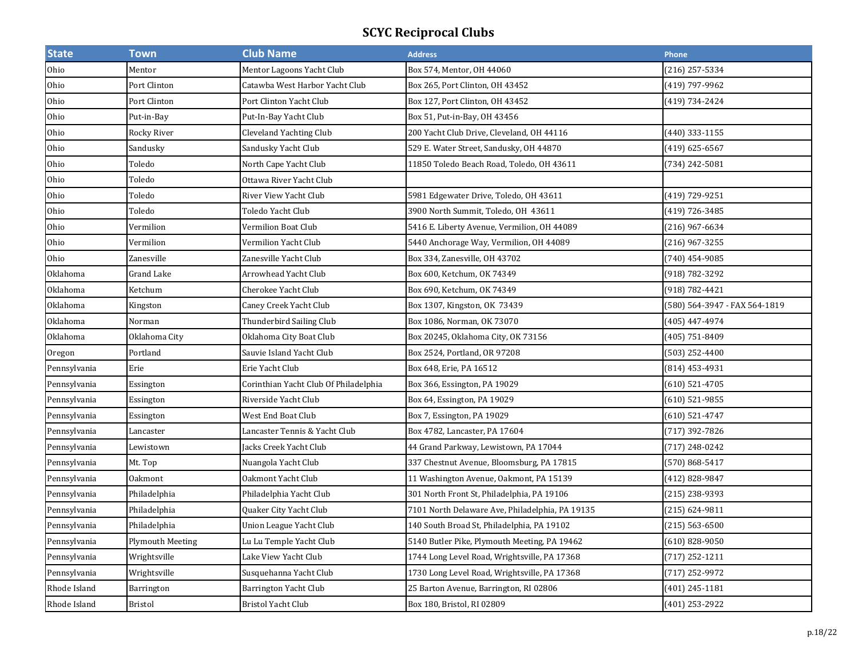| <b>State</b> | Town                    | <b>Club Name</b>                      | <b>Address</b>                                  | Phone                         |
|--------------|-------------------------|---------------------------------------|-------------------------------------------------|-------------------------------|
| Ohio         | Mentor                  | Mentor Lagoons Yacht Club             | Box 574, Mentor, OH 44060                       | (216) 257-5334                |
| Ohio         | Port Clinton            | Catawba West Harbor Yacht Club        | Box 265, Port Clinton, OH 43452                 | (419) 797-9962                |
| Ohio         | Port Clinton            | Port Clinton Yacht Club               | Box 127, Port Clinton, OH 43452                 | (419) 734-2424                |
| Ohio         | Put-in-Bay              | Put-In-Bay Yacht Club                 | Box 51, Put-in-Bay, OH 43456                    |                               |
| Ohio         | Rocky River             | Cleveland Yachting Club               | 200 Yacht Club Drive, Cleveland, OH 44116       | (440) 333-1155                |
| Ohio         | Sandusky                | Sandusky Yacht Club                   | 529 E. Water Street, Sandusky, OH 44870         | $(419)$ 625-6567              |
| Ohio         | Toledo                  | North Cape Yacht Club                 | 11850 Toledo Beach Road, Toledo, OH 43611       | (734) 242-5081                |
| Ohio         | Toledo                  | Ottawa River Yacht Club               |                                                 |                               |
| Ohio         | Toledo                  | River View Yacht Club                 | 5981 Edgewater Drive, Toledo, OH 43611          | (419) 729-9251                |
| Ohio         | Toledo                  | Toledo Yacht Club                     | 3900 North Summit, Toledo, OH 43611             | (419) 726-3485                |
| Ohio         | Vermilion               | Vermilion Boat Club                   | 5416 E. Liberty Avenue, Vermilion, OH 44089     | (216) 967-6634                |
| Ohio         | Vermilion               | Vermilion Yacht Club                  | 5440 Anchorage Way, Vermilion, OH 44089         | (216) 967-3255                |
| Ohio         | Zanesville              | Zanesville Yacht Club                 | Box 334, Zanesville, OH 43702                   | (740) 454-9085                |
| Oklahoma     | Grand Lake              | Arrowhead Yacht Club                  | Box 600, Ketchum, OK 74349                      | (918) 782-3292                |
| Oklahoma     | Ketchum                 | Cherokee Yacht Club                   | Box 690, Ketchum, OK 74349                      | (918) 782-4421                |
| Oklahoma     | Kingston                | Caney Creek Yacht Club                | Box 1307, Kingston, OK 73439                    | (580) 564-3947 - FAX 564-1819 |
| Oklahoma     | Norman                  | Thunderbird Sailing Club              | Box 1086, Norman, OK 73070                      | (405) 447-4974                |
| Oklahoma     | Oklahoma City           | Oklahoma City Boat Club               | Box 20245, Oklahoma City, OK 73156              | (405) 751-8409                |
| Oregon       | Portland                | Sauvie Island Yacht Club              | Box 2524, Portland, OR 97208                    | (503) 252-4400                |
| Pennsylvania | Erie                    | Erie Yacht Club                       | Box 648, Erie, PA 16512                         | $(814)$ 453-4931              |
| Pennsylvania | Essington               | Corinthian Yacht Club Of Philadelphia | Box 366, Essington, PA 19029                    | $(610)$ 521-4705              |
| Pennsylvania | Essington               | Riverside Yacht Club                  | Box 64, Essington, PA 19029                     | (610) 521-9855                |
| Pennsylvania | Essington               | West End Boat Club                    | Box 7, Essington, PA 19029                      | (610) 521-4747                |
| Pennsylvania | Lancaster               | Lancaster Tennis & Yacht Club         | Box 4782, Lancaster, PA 17604                   | (717) 392-7826                |
| Pennsylvania | Lewistown               | acks Creek Yacht Club                 | 44 Grand Parkway, Lewistown, PA 17044           | (717) 248-0242                |
| Pennsylvania | Mt. Top                 | Nuangola Yacht Club                   | 337 Chestnut Avenue, Bloomsburg, PA 17815       | (570) 868-5417                |
| Pennsylvania | <b>Oakmont</b>          | Oakmont Yacht Club                    | 11 Washington Avenue, Oakmont, PA 15139         | (412) 828-9847                |
| Pennsylvania | Philadelphia            | Philadelphia Yacht Club               | 301 North Front St, Philadelphia, PA 19106      | (215) 238-9393                |
| Pennsylvania | Philadelphia            | Quaker City Yacht Club                | 7101 North Delaware Ave, Philadelphia, PA 19135 | (215) 624-9811                |
| Pennsylvania | Philadelphia            | Union League Yacht Club               | 140 South Broad St, Philadelphia, PA 19102      | $(215) 563 - 6500$            |
| Pennsylvania | <b>Plymouth Meeting</b> | Lu Lu Temple Yacht Club               | 5140 Butler Pike, Plymouth Meeting, PA 19462    | (610) 828-9050                |
| Pennsylvania | Wrightsville            | Lake View Yacht Club                  | 1744 Long Level Road, Wrightsville, PA 17368    | $(717)$ 252-1211              |
| Pennsylvania | Wrightsville            | Susquehanna Yacht Club                | 1730 Long Level Road, Wrightsville, PA 17368    | (717) 252-9972                |
| Rhode Island | Barrington              | Barrington Yacht Club                 | 25 Barton Avenue, Barrington, RI 02806          | (401) 245-1181                |
| Rhode Island | <b>Bristol</b>          | Bristol Yacht Club                    | Box 180, Bristol, RI 02809                      | (401) 253-2922                |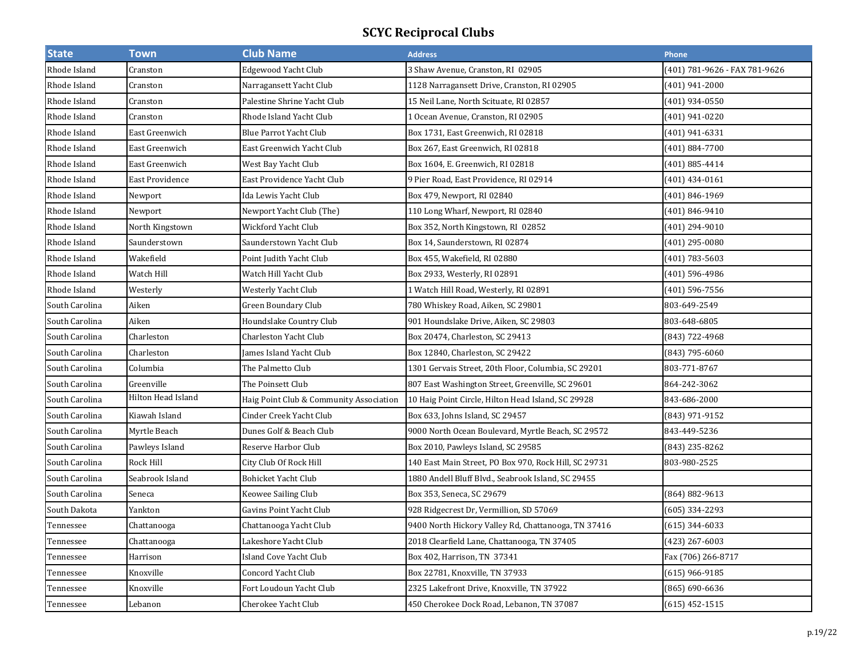| <b>State</b>   | <b>Town</b>        | <b>Club Name</b>                        | <b>Address</b>                                        | <b>Phone</b>                  |
|----------------|--------------------|-----------------------------------------|-------------------------------------------------------|-------------------------------|
| Rhode Island   | Cranston           | Edgewood Yacht Club                     | 3 Shaw Avenue, Cranston, RI 02905                     | (401) 781-9626 - FAX 781-9626 |
| Rhode Island   | Cranston           | Narragansett Yacht Club                 | 1128 Narragansett Drive, Cranston, RI 02905           | (401) 941-2000                |
| Rhode Island   | Cranston           | Palestine Shrine Yacht Club             | 15 Neil Lane, North Scituate, RI 02857                | (401) 934-0550                |
| Rhode Island   | Cranston           | Rhode Island Yacht Club                 | 1 Ocean Avenue, Cranston, RI 02905                    | (401) 941-0220                |
| Rhode Island   | East Greenwich     | Blue Parrot Yacht Club                  | Box 1731, East Greenwich, RI 02818                    | (401) 941-6331                |
| Rhode Island   | East Greenwich     | East Greenwich Yacht Club               | Box 267, East Greenwich, RI 02818                     | (401) 884-7700                |
| Rhode Island   | East Greenwich     | West Bay Yacht Club                     | Box 1604, E. Greenwich, RI 02818                      | (401) 885-4414                |
| Rhode Island   | East Providence    | East Providence Yacht Club              | 9 Pier Road, East Providence, RI 02914                | (401) 434-0161                |
| Rhode Island   | Newport            | Ida Lewis Yacht Club                    | Box 479, Newport, RI 02840                            | (401) 846-1969                |
| Rhode Island   | Newport            | Newport Yacht Club (The)                | 110 Long Wharf, Newport, RI 02840                     | (401) 846-9410                |
| Rhode Island   | North Kingstown    | Wickford Yacht Club                     | Box 352, North Kingstown, RI 02852                    | (401) 294-9010                |
| Rhode Island   | Saunderstown       | Saunderstown Yacht Club                 | Box 14, Saunderstown, RI 02874                        | (401) 295-0080                |
| Rhode Island   | Wakefield          | Point Judith Yacht Club                 | Box 455, Wakefield, RI 02880                          | (401) 783-5603                |
| Rhode Island   | Watch Hill         | Watch Hill Yacht Club                   | Box 2933, Westerly, RI 02891                          | (401) 596-4986                |
| Rhode Island   | Westerly           | Westerly Yacht Club                     | 1 Watch Hill Road, Westerly, RI 02891                 | (401) 596-7556                |
| South Carolina | Aiken              | Green Boundary Club                     | 780 Whiskey Road, Aiken, SC 29801                     | 803-649-2549                  |
| South Carolina | Aiken              | Houndslake Country Club                 | 901 Houndslake Drive, Aiken, SC 29803                 | 803-648-6805                  |
| South Carolina | Charleston         | <b>Charleston Yacht Club</b>            | Box 20474, Charleston, SC 29413                       | (843) 722-4968                |
| South Carolina | Charleston         | James Island Yacht Club                 | Box 12840, Charleston, SC 29422                       | (843) 795-6060                |
| South Carolina | Columbia           | The Palmetto Club                       | 1301 Gervais Street, 20th Floor, Columbia, SC 29201   | 803-771-8767                  |
| South Carolina | Greenville         | The Poinsett Club                       | 807 East Washington Street, Greenville, SC 29601      | 864-242-3062                  |
| South Carolina | Hilton Head Island | Haig Point Club & Community Association | 10 Haig Point Circle, Hilton Head Island, SC 29928    | 843-686-2000                  |
| South Carolina | Kiawah Island      | Cinder Creek Yacht Club                 | Box 633, Johns Island, SC 29457                       | (843) 971-9152                |
| South Carolina | Myrtle Beach       | Dunes Golf & Beach Club                 | 9000 North Ocean Boulevard, Myrtle Beach, SC 29572    | 843-449-5236                  |
| South Carolina | Pawleys Island     | Reserve Harbor Club                     | Box 2010, Pawleys Island, SC 29585                    | (843) 235-8262                |
| South Carolina | Rock Hill          | City Club Of Rock Hill                  | 140 East Main Street, PO Box 970, Rock Hill, SC 29731 | 803-980-2525                  |
| South Carolina | Seabrook Island    | Bohicket Yacht Club                     | 1880 Andell Bluff Blvd., Seabrook Island, SC 29455    |                               |
| South Carolina | Seneca             | Keowee Sailing Club                     | Box 353, Seneca, SC 29679                             | (864) 882-9613                |
| South Dakota   | Yankton            | Gavins Point Yacht Club                 | 928 Ridgecrest Dr, Vermillion, SD 57069               | (605) 334-2293                |
| Tennessee      | Chattanooga        | Chattanooga Yacht Club                  | 9400 North Hickory Valley Rd, Chattanooga, TN 37416   | $(615)$ 344-6033              |
| Tennessee      | Chattanooga        | Lakeshore Yacht Club                    | 2018 Clearfield Lane, Chattanooga, TN 37405           | (423) 267-6003                |
| Tennessee      | Harrison           | <b>Island Cove Yacht Club</b>           | Box 402, Harrison, TN 37341                           | Fax (706) 266-8717            |
| Tennessee      | Knoxville          | <b>Concord Yacht Club</b>               | Box 22781, Knoxville, TN 37933                        | $(615)$ 966-9185              |
| Tennessee      | Knoxville          | Fort Loudoun Yacht Club                 | 2325 Lakefront Drive, Knoxville, TN 37922             | (865) 690-6636                |
| Tennessee      | Lebanon            | Cherokee Yacht Club                     | 450 Cherokee Dock Road, Lebanon, TN 37087             | $(615)$ 452-1515              |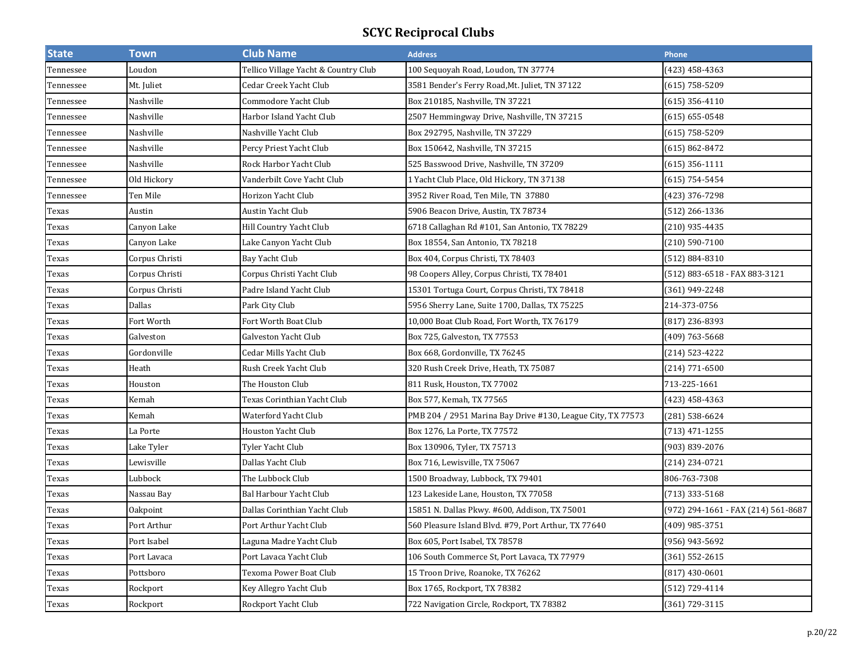| <b>State</b> | <b>Town</b>    | <b>Club Name</b>                     | <b>Address</b>                                              | Phone                               |
|--------------|----------------|--------------------------------------|-------------------------------------------------------------|-------------------------------------|
| Tennessee    | Loudon         | Tellico Village Yacht & Country Club | 100 Sequoyah Road, Loudon, TN 37774                         | (423) 458-4363                      |
| Tennessee    | Mt. Juliet     | Cedar Creek Yacht Club               | 3581 Bender's Ferry Road, Mt. Juliet, TN 37122              | (615) 758-5209                      |
| Tennessee    | Nashville      | Commodore Yacht Club                 | Box 210185, Nashville, TN 37221                             | (615) 356-4110                      |
| Tennessee    | Nashville      | Harbor Island Yacht Club             | 2507 Hemmingway Drive, Nashville, TN 37215                  | $(615) 655 - 0548$                  |
| Tennessee    | Nashville      | Nashville Yacht Club                 | Box 292795, Nashville, TN 37229                             | $(615)$ 758-5209                    |
| Tennessee    | Nashville      | Percy Priest Yacht Club              | Box 150642, Nashville, TN 37215                             | $(615) 862 - 8472$                  |
| Tennessee    | Nashville      | Rock Harbor Yacht Club               | 525 Basswood Drive, Nashville, TN 37209                     | (615) 356-1111                      |
| Tennessee    | Old Hickory    | Vanderbilt Cove Yacht Club           | 1 Yacht Club Place, Old Hickory, TN 37138                   | (615) 754-5454                      |
| Tennessee    | Ten Mile       | Horizon Yacht Club                   | 3952 River Road, Ten Mile, TN 37880                         | (423) 376-7298                      |
| Texas        | Austin         | Austin Yacht Club                    | 5906 Beacon Drive, Austin, TX 78734                         | (512) 266-1336                      |
| Texas        | Canyon Lake    | Hill Country Yacht Club              | 6718 Callaghan Rd #101, San Antonio, TX 78229               | (210) 935-4435                      |
| Texas        | Canyon Lake    | Lake Canyon Yacht Club               | Box 18554, San Antonio, TX 78218                            | (210) 590-7100                      |
| Texas        | Corpus Christi | Bay Yacht Club                       | Box 404, Corpus Christi, TX 78403                           | (512) 884-8310                      |
| Texas        | Corpus Christi | Corpus Christi Yacht Club            | 98 Coopers Alley, Corpus Christi, TX 78401                  | (512) 883-6518 - FAX 883-3121       |
| Texas        | Corpus Christi | Padre Island Yacht Club              | 15301 Tortuga Court, Corpus Christi, TX 78418               | (361) 949-2248                      |
| Texas        | Dallas         | Park City Club                       | 5956 Sherry Lane, Suite 1700, Dallas, TX 75225              | 214-373-0756                        |
| Texas        | Fort Worth     | Fort Worth Boat Club                 | 10,000 Boat Club Road, Fort Worth, TX 76179                 | (817) 236-8393                      |
| Texas        | Galveston      | Galveston Yacht Club                 | Box 725, Galveston, TX 77553                                | (409) 763-5668                      |
| Texas        | Gordonville    | Cedar Mills Yacht Club               | Box 668, Gordonville, TX 76245                              | (214) 523-4222                      |
| Texas        | Heath          | Rush Creek Yacht Club                | 320 Rush Creek Drive, Heath, TX 75087                       | (214) 771-6500                      |
| Texas        | Houston        | The Houston Club                     | 811 Rusk, Houston, TX 77002                                 | 713-225-1661                        |
| Texas        | Kemah          | Texas Corinthian Yacht Club          | Box 577, Kemah, TX 77565                                    | (423) 458-4363                      |
| Texas        | Kemah          | Waterford Yacht Club                 | PMB 204 / 2951 Marina Bay Drive #130, League City, TX 77573 | (281) 538-6624                      |
| Texas        | La Porte       | Houston Yacht Club                   | Box 1276, La Porte, TX 77572                                | (713) 471-1255                      |
| Texas        | Lake Tyler     | Tyler Yacht Club                     | Box 130906, Tyler, TX 75713                                 | (903) 839-2076                      |
| Texas        | Lewisville     | Dallas Yacht Club                    | Box 716, Lewisville, TX 75067                               | (214) 234-0721                      |
| Texas        | Lubbock        | The Lubbock Club                     | 1500 Broadway, Lubbock, TX 79401                            | 806-763-7308                        |
| Texas        | Nassau Bay     | Bal Harbour Yacht Club               | 123 Lakeside Lane, Houston, TX 77058                        | (713) 333-5168                      |
| Texas        | Oakpoint       | Dallas Corinthian Yacht Club         | 15851 N. Dallas Pkwy. #600, Addison, TX 75001               | (972) 294-1661 - FAX (214) 561-8687 |
| Texas        | Port Arthur    | Port Arthur Yacht Club               | 560 Pleasure Island Blvd. #79, Port Arthur, TX 77640        | (409) 985-3751                      |
| Texas        | Port Isabel    | Laguna Madre Yacht Club              | Box 605, Port Isabel, TX 78578                              | (956) 943-5692                      |
| Texas        | Port Lavaca    | Port Lavaca Yacht Club               | 106 South Commerce St, Port Lavaca, TX 77979                | (361) 552-2615                      |
| Texas        | Pottsboro      | Texoma Power Boat Club               | 15 Troon Drive, Roanoke, TX 76262                           | $(817)$ 430-0601                    |
| Texas        | Rockport       | Key Allegro Yacht Club               | Box 1765, Rockport, TX 78382                                | (512) 729-4114                      |
| Texas        | Rockport       | Rockport Yacht Club                  | 722 Navigation Circle, Rockport, TX 78382                   | (361) 729-3115                      |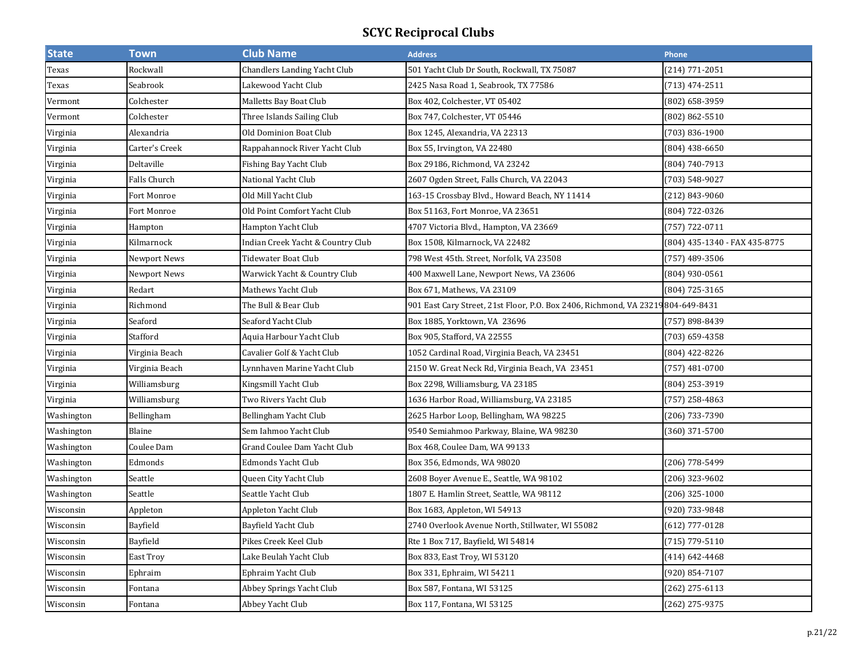| <b>State</b> | Town           | <b>Club Name</b>                    | <b>Address</b>                                                      | Phone                         |
|--------------|----------------|-------------------------------------|---------------------------------------------------------------------|-------------------------------|
| Texas        | Rockwall       | <b>Chandlers Landing Yacht Club</b> | 501 Yacht Club Dr South, Rockwall, TX 75087                         | (214) 771-2051                |
| Texas        | Seabrook       | Lakewood Yacht Club                 | 2425 Nasa Road 1, Seabrook, TX 77586                                | (713) 474-2511                |
| Vermont      | Colchester     | Malletts Bay Boat Club              | Box 402, Colchester, VT 05402                                       | (802) 658-3959                |
| Vermont      | Colchester     | Three Islands Sailing Club          | Box 747, Colchester, VT 05446                                       | (802) 862-5510                |
| Virginia     | Alexandria     | Old Dominion Boat Club              | Box 1245, Alexandria, VA 22313                                      | 703) 836-1900                 |
| Virginia     | Carter's Creek | Rappahannock River Yacht Club       | Box 55, Irvington, VA 22480                                         | $(804)$ 438-6650              |
| Virginia     | Deltaville     | Fishing Bay Yacht Club              | Box 29186, Richmond, VA 23242                                       | (804) 740-7913                |
| Virginia     | Falls Church   | National Yacht Club                 | 2607 Ogden Street, Falls Church, VA 22043                           | (703) 548-9027                |
| Virginia     | Fort Monroe    | Old Mill Yacht Club                 | 163-15 Crossbay Blvd., Howard Beach, NY 11414                       | (212) 843-9060                |
| Virginia     | Fort Monroe    | Old Point Comfort Yacht Club        | Box 51163, Fort Monroe, VA 23651                                    | (804) 722-0326                |
| Virginia     | Hampton        | Hampton Yacht Club                  | 4707 Victoria Blvd., Hampton, VA 23669                              | (757) 722-0711                |
| Virginia     | Kilmarnock     | Indian Creek Yacht & Country Club   | Box 1508, Kilmarnock, VA 22482                                      | (804) 435-1340 - FAX 435-8775 |
| Virginia     | Newport News   | Tidewater Boat Club                 | 798 West 45th. Street, Norfolk, VA 23508                            | (757) 489-3506                |
| Virginia     | Newport News   | Warwick Yacht & Country Club        | 400 Maxwell Lane, Newport News, VA 23606                            | (804) 930-0561                |
| Virginia     | Redart         | Mathews Yacht Club                  | Box 671, Mathews, VA 23109                                          | (804) 725-3165                |
| Virginia     | Richmond       | The Bull & Bear Club                | 901 East Cary Street, 21st Floor, P.O. Box 2406, Richmond, VA 23219 | 804-649-8431                  |
| Virginia     | Seaford        | Seaford Yacht Club                  | Box 1885, Yorktown, VA 23696                                        | (757) 898-8439                |
| Virginia     | Stafford       | Aquia Harbour Yacht Club            | Box 905, Stafford, VA 22555                                         | (703) 659-4358                |
| Virginia     | Virginia Beach | Cavalier Golf & Yacht Club          | 1052 Cardinal Road, Virginia Beach, VA 23451                        | (804) 422-8226                |
| Virginia     | Virginia Beach | Lynnhaven Marine Yacht Club         | 2150 W. Great Neck Rd, Virginia Beach, VA 23451                     | (757) 481-0700                |
| Virginia     | Williamsburg   | Kingsmill Yacht Club                | Box 2298, Williamsburg, VA 23185                                    | (804) 253-3919                |
| Virginia     | Williamsburg   | Two Rivers Yacht Club               | 1636 Harbor Road, Williamsburg, VA 23185                            | (757) 258-4863                |
| Washington   | Bellingham     | Bellingham Yacht Club               | 2625 Harbor Loop, Bellingham, WA 98225                              | (206) 733-7390                |
| Washington   | Blaine         | Sem Iahmoo Yacht Club               | 9540 Semiahmoo Parkway, Blaine, WA 98230                            | (360) 371-5700                |
| Washington   | Coulee Dam     | Grand Coulee Dam Yacht Club         | Box 468, Coulee Dam, WA 99133                                       |                               |
| Washington   | Edmonds        | Edmonds Yacht Club                  | Box 356, Edmonds, WA 98020                                          | (206) 778-5499                |
| Washington   | Seattle        | Queen City Yacht Club               | 2608 Boyer Avenue E., Seattle, WA 98102                             | (206) 323-9602                |
| Washington   | Seattle        | Seattle Yacht Club                  | 1807 E. Hamlin Street, Seattle, WA 98112                            | (206) 325-1000                |
| Wisconsin    | Appleton       | Appleton Yacht Club                 | Box 1683, Appleton, WI 54913                                        | (920) 733-9848                |
| Wisconsin    | Bayfield       | Bayfield Yacht Club                 | 2740 Overlook Avenue North, Stillwater, WI 55082                    | (612) 777-0128                |
| Wisconsin    | Bayfield       | Pikes Creek Keel Club               | Rte 1 Box 717, Bayfield, WI 54814                                   | (715) 779-5110                |
| Wisconsin    | East Troy      | Lake Beulah Yacht Club              | Box 833, East Troy, WI 53120                                        | (414) 642-4468                |
| Wisconsin    | Ephraim        | Ephraim Yacht Club                  | Box 331, Ephraim, WI 54211                                          | (920) 854-7107                |
| Wisconsin    | Fontana        | Abbey Springs Yacht Club            | Box 587, Fontana, WI 53125                                          | (262) 275-6113                |
| Wisconsin    | Fontana        | Abbey Yacht Club                    | Box 117, Fontana, WI 53125                                          | (262) 275-9375                |